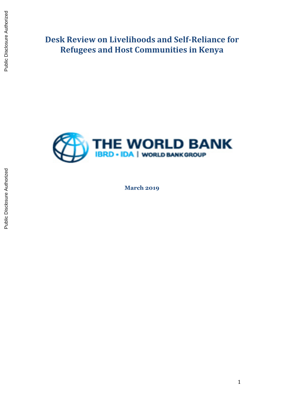**Desk Review on Livelihoods and Self-Reliance for Refugees and Host Communities in Kenya**



**March 2019**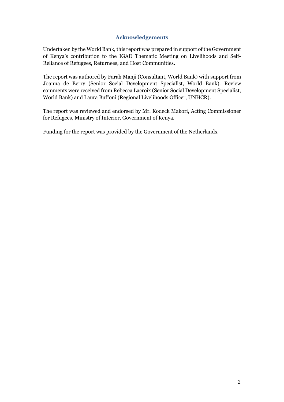## **Acknowledgements**

<span id="page-1-0"></span>Undertaken by the World Bank, this report was prepared in support of the Government of Kenya's contribution to the IGAD Thematic Meeting on Livelihoods and Self-Reliance of Refugees, Returnees, and Host Communities.

The report was authored by Farah Manji (Consultant, World Bank) with support from Joanna de Berry (Senior Social Development Specialist, World Bank). Review comments were received from Rebecca Lacroix (Senior Social Development Specialist, World Bank) and Laura Buffoni (Regional Livelihoods Officer, UNHCR).

The report was reviewed and endorsed by Mr. Kodeck Makori, Acting Commissioner for Refugees, Ministry of Interior, Government of Kenya.

Funding for the report was provided by the Government of the Netherlands.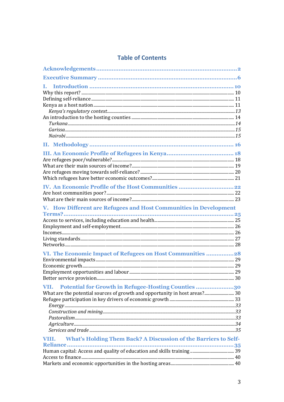## **Table of Contents**

| L.                                                                         |  |
|----------------------------------------------------------------------------|--|
|                                                                            |  |
|                                                                            |  |
|                                                                            |  |
|                                                                            |  |
|                                                                            |  |
|                                                                            |  |
|                                                                            |  |
|                                                                            |  |
|                                                                            |  |
|                                                                            |  |
|                                                                            |  |
|                                                                            |  |
|                                                                            |  |
|                                                                            |  |
|                                                                            |  |
| V. How Different are Refugees and Host Communities in Development          |  |
|                                                                            |  |
|                                                                            |  |
|                                                                            |  |
|                                                                            |  |
|                                                                            |  |
| VI. The Economic Impact of Refugees on Host Communities 28                 |  |
|                                                                            |  |
|                                                                            |  |
|                                                                            |  |
|                                                                            |  |
| Potential for Growth in Refugee-Hosting Counties 30<br>VII.                |  |
| What are the potential sources of growth and opportunity in host areas? 30 |  |
|                                                                            |  |
|                                                                            |  |
|                                                                            |  |
|                                                                            |  |
|                                                                            |  |
| What's Holding Them Back? A Discussion of the Barriers to Self-<br>VIII.   |  |
| <b>Reliance.</b>                                                           |  |
|                                                                            |  |
|                                                                            |  |
|                                                                            |  |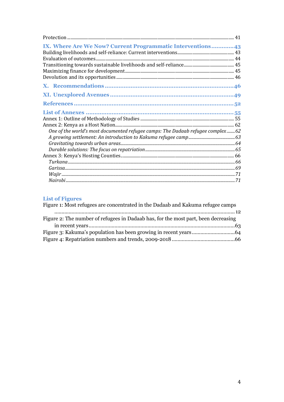| IX. Where Are We Now? Current Programmatic Interventions 43                    |  |
|--------------------------------------------------------------------------------|--|
|                                                                                |  |
|                                                                                |  |
|                                                                                |  |
|                                                                                |  |
|                                                                                |  |
|                                                                                |  |
|                                                                                |  |
|                                                                                |  |
|                                                                                |  |
|                                                                                |  |
|                                                                                |  |
| One of the world's most documented refugee camps: The Dadaab refugee complex62 |  |
|                                                                                |  |
|                                                                                |  |
|                                                                                |  |
|                                                                                |  |
|                                                                                |  |
|                                                                                |  |
|                                                                                |  |
|                                                                                |  |

# **List of Figures**

| Figure 1: Most refugees are concentrated in the Dadaab and Kakuma refugee camps    |  |
|------------------------------------------------------------------------------------|--|
|                                                                                    |  |
| Figure 2: The number of refugees in Dadaab has, for the most part, been decreasing |  |
|                                                                                    |  |
|                                                                                    |  |
|                                                                                    |  |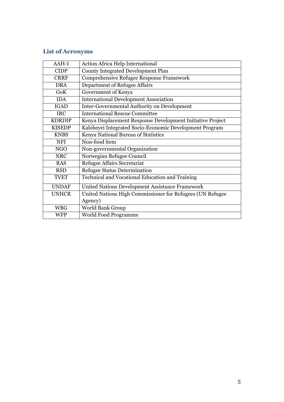# **List of Acronyms**

| $AAH-I$       | Action Africa Help International                           |
|---------------|------------------------------------------------------------|
| <b>CIDP</b>   | <b>County Integrated Development Plan</b>                  |
| <b>CRRF</b>   | <b>Comprehensive Refugee Response Framework</b>            |
| <b>DRA</b>    | Department of Refugee Affairs                              |
| GoK           | Government of Kenya                                        |
| <b>IDA</b>    | <b>International Development Association</b>               |
| <b>IGAD</b>   | <b>Inter-Governmental Authority on Development</b>         |
| <b>IRC</b>    | <b>International Rescue Committee</b>                      |
| <b>KDRDIP</b> | Kenya Displacement Response Development Initiative Project |
| <b>KISEDP</b> | Kalobeyei Integrated Socio-Economic Development Program    |
| <b>KNBS</b>   | Kenya National Bureau of Statistics                        |
| <b>NFI</b>    | Non-food item                                              |
| <b>NGO</b>    | Non-governmental Organization                              |
| <b>NRC</b>    | Norwegian Refugee Council                                  |
| <b>RAS</b>    | Refugee Affairs Secretariat                                |
| <b>RSD</b>    | <b>Refugee Status Determination</b>                        |
| <b>TVET</b>   | Technical and Vocational Education and Training            |
| <b>UNDAF</b>  | United Nations Development Assistance Framework            |
| <b>UNHCR</b>  | United Nations High Commissioner for Refugees (UN Refugee  |
|               | Agency)                                                    |
| <b>WBG</b>    | World Bank Group                                           |
| <b>WFP</b>    | World Food Programme                                       |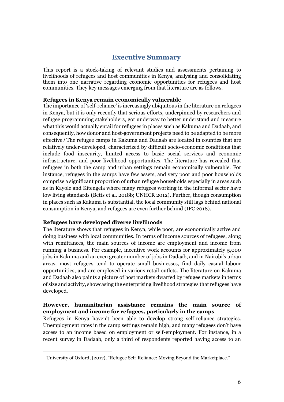## **Executive Summary**

<span id="page-5-0"></span>This report is a stock-taking of relevant studies and assessments pertaining to livelihoods of refugees and host communities in Kenya, analysing and consolidating them into one narrative regarding economic opportunities for refugees and host communities. They key messages emerging from that literature are as follows.

#### **Refugees in Kenya remain economically vulnerable**

The importance of 'self-reliance' is increasingly ubiquitous in the literature on refugees in Kenya, but it is only recently that serious efforts, underpinned by researchers and refugee programming stakeholders, got underway to better understand and measure what this would actually entail for refugees in places such as Kakuma and Dadaab, and consequently, how donor and host-government projects need to be adapted to be more effective. <sup>1</sup> The refugee camps in Kakuma and Dadaab are located in counties that are relatively under-developed, characterized by difficult socio-economic conditions that include food insecurity, limited access to basic social services and economic infrastructure, and poor livelihood opportunities. The literature has revealed that refugees in both the camp and urban settings remain economically vulnerable. For instance, refugees in the camps have few assets, and very poor and poor households comprise a significant proportion of urban refugee households especially in areas such as in Kayole and Kitengela where many refugees working in the informal sector have low living standards (Betts et al. 2018b; UNHCR 2012). Further, though consumption in places such as Kakuma is substantial, the local community still lags behind national consumption in Kenya, and refugees are even further behind (IFC 2018).

#### **Refugees have developed diverse livelihoods**

 $\overline{a}$ 

The literature shows that refugees in Kenya, while poor, are economically active and doing business with local communities. In terms of income sources of refugees, along with remittances, the main sources of income are employment and income from running a business. For example, incentive work accounts for approximately 5,000 jobs in Kakuma and an even greater number of jobs in Dadaab, and in Nairobi's urban areas, most refugees tend to operate small businesses, find daily casual labour opportunities, and are employed in various retail outlets. The literature on Kakuma and Dadaab also paints a picture of host markets dwarfed by refugee markets in terms of size and activity, showcasing the enterprising livelihood strategies that refugees have developed.

### **However, humanitarian assistance remains the main source of employment and income for refugees, particularly in the camps**

Refugees in Kenya haven't been able to develop strong self-reliance strategies. Unemployment rates in the camp settings remain high, and many refugees don't have access to an income based on employment or self-employment. For instance, in a recent survey in Dadaab, only a third of respondents reported having access to an

<sup>1</sup> University of Oxford, (2017), "Refugee Self-Reliance: Moving Beyond the Marketplace."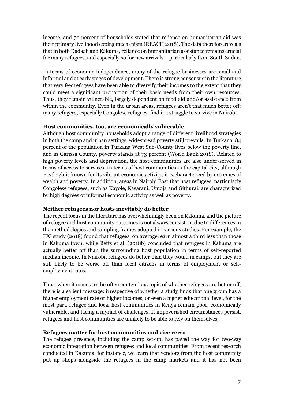income, and 70 percent of households stated that reliance on humanitarian aid was their primary livelihood coping mechanism (REACH 2018). The data therefore reveals that in both Dadaab and Kakuma, reliance on humanitarian assistance remains crucial for many refugees, and especially so for new arrivals – particularly from South Sudan.

In terms of economic independence, many of the refugee businesses are small and informal and at early stages of development. There is strong consensus in the literature that very few refugees have been able to diversify their incomes to the extent that they could meet a significant proportion of their basic needs from their own resources. Thus, they remain vulnerable, largely dependent on food aid and/or assistance from within the community. Even in the urban areas, refugees aren't that much better off: many refugees, especially Congolese refugees, find it a struggle to survive in Nairobi.

#### **Host communities, too, are economically vulnerable**

Although host community households adopt a range of different livelihood strategies in both the camp and urban settings, widespread poverty still prevails. In Turkana, 84 percent of the population in Turkana West Sub-County lives below the poverty line, and in Garissa County, poverty stands at 73 percent (World Bank 2018). Related to high poverty levels and deprivation, the host communities are also under-served in terms of access to services. In terms of host communities in the capital city, although Eastleigh is known for its vibrant economic activity, it is characterized by extremes of wealth and poverty. In addition, areas in Nairobi East that host refugees, particularly Congolese refugees, such as Kayole, Kasarani, Umoja and Githurai, are characterized by high degrees of informal economic activity as well as poverty.

#### **Neither refugees nor hosts inevitably do better**

The recent focus in the literature has overwhelmingly been on Kakuma, and the picture of refugee and host community outcomes is not always consistent due to differences in the methodologies and sampling frames adopted in various studies. For example, the IFC study (2018) found that refugees, on average, earn almost a third less than those in Kakuma town, while Betts et al. (2018b) concluded that refugees in Kakuma are actually better off than the surrounding host population in terms of self-reported median income. In Nairobi, refugees do better than they would in camps, but they are still likely to be worse off than local citizens in terms of employment or selfemployment rates.

Thus, when it comes to the often contentious topic of whether refugees are better off, there is a salient message: irrespective of whether a study finds that one group has a higher employment rate or higher incomes, or even a higher educational level, for the most part, refugee and local host communities in Kenya remain poor, economically vulnerable, and facing a myriad of challenges. If impoverished circumstances persist, refugees and host communities are unlikely to be able to rely on themselves.

#### **Refugees matter for host communities and vice versa**

The refugee presence, including the camp set-up, has paved the way for two-way economic integration between refugees and local communities. From recent research conducted in Kakuma, for instance, we learn that vendors from the host community put up shops alongside the refugees in the camp markets and it has not been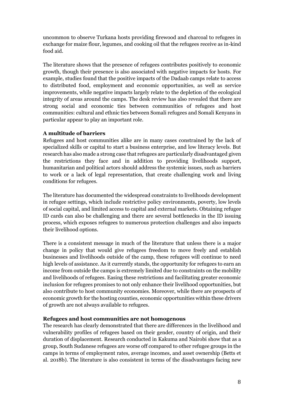uncommon to observe Turkana hosts providing firewood and charcoal to refugees in exchange for maize flour, legumes, and cooking oil that the refugees receive as in-kind food aid.

The literature shows that the presence of refugees contributes positively to economic growth, though their presence is also associated with negative impacts for hosts. For example, studies found that the positive impacts of the Dadaab camps relate to access to distributed food, employment and economic opportunities, as well as service improvements, while negative impacts largely relate to the depletion of the ecological integrity of areas around the camps. The desk review has also revealed that there are strong social and economic ties between communities of refugees and host communities: cultural and ethnic ties between Somali refugees and Somali Kenyans in particular appear to play an important role.

## **A multitude of barriers**

Refugees and host communities alike are in many cases constrained by the lack of specialized skills or capital to start a business enterprise, and low literacy levels. But research has also made a strong case that refugees are particularly disadvantaged given the restrictions they face and in addition to providing livelihoods support, humanitarian and political actors should address the systemic issues, such as barriers to work or a lack of legal representation, that create challenging work and living conditions for refugees.

The literature has documented the widespread constraints to livelihoods development in refugee settings, which include restrictive policy environments, poverty, low levels of social capital, and limited access to capital and external markets. Obtaining refugee ID cards can also be challenging and there are several bottlenecks in the ID issuing process, which exposes refugees to numerous protection challenges and also impacts their livelihood options.

There is a consistent message in much of the literature that unless there is a major change in policy that would give refugees freedom to move freely and establish businesses and livelihoods outside of the camp, these refugees will continue to need high levels of assistance. As it currently stands, the opportunity for refugees to earn an income from outside the camps is extremely limited due to constraints on the mobility and livelihoods of refugees. Easing these restrictions and facilitating greater economic inclusion for refugees promises to not only enhance their livelihood opportunities, but also contribute to host community economies. Moreover, while there are prospects of economic growth for the hosting counties, economic opportunities within these drivers of growth are not always available to refugees.

#### **Refugees and host communities are not homogenous**

The research has clearly demonstrated that there are differences in the livelihood and vulnerability profiles of refugees based on their gender, country of origin, and their duration of displacement. Research conducted in Kakuma and Nairobi show that as a group, South Sudanese refugees are worse off compared to other refugee groups in the camps in terms of employment rates, average incomes, and asset ownership (Betts et al. 2018b). The literature is also consistent in terms of the disadvantages facing new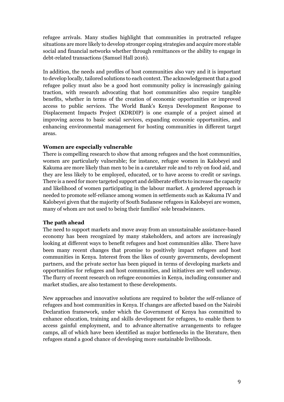refugee arrivals. Many studies highlight that communities in protracted refugee situations are more likely to develop stronger coping strategies and acquire more stable social and financial networks whether through remittances or the ability to engage in debt-related transactions (Samuel Hall 2016).

In addition, the needs and profiles of host communities also vary and it is important to develop locally, tailored solutions to each context. The acknowledgement that a good refugee policy must also be a good host community policy is increasingly gaining traction, with research advocating that host communities also require tangible benefits, whether in terms of the creation of economic opportunities or improved access to public services. The World Bank's Kenya Development Response to Displacement Impacts Project (KDRDIP) is one example of a project aimed at improving access to basic social services, expanding economic opportunities, and enhancing environmental management for hosting communities in different target areas.

### **Women are especially vulnerable**

There is compelling research to show that among refugees and the host communities, women are particularly vulnerable; for instance, refugee women in Kalobeyei and Kakuma are more likely than men to be in a caretaker role and to rely on food aid, and they are less likely to be employed, educated, or to have access to credit or savings. There is a need for more targeted support and deliberate efforts to increase the capacity and likelihood of women participating in the labour market. A gendered approach is needed to promote self-reliance among women in settlements such as Kakuma IV and Kalobeyei given that the majority of South Sudanese refugees in Kalobeyei are women, many of whom are not used to being their families' sole breadwinners.

#### **The path ahead**

The need to support markets and move away from an unsustainable assistance-based economy has been recognized by many stakeholders, and actors are increasingly looking at different ways to benefit refugees and host communities alike. There have been many recent changes that promise to positively impact refugees and host communities in Kenya. Interest from the likes of county governments, development partners, and the private sector has been piqued in terms of developing markets and opportunities for refugees and host communities, and initiatives are well underway. The flurry of recent research on refugee economies in Kenya, including consumer and market studies, are also testament to these developments.

New approaches and innovative solutions are required to bolster the self-reliance of refugees and host communities in Kenya. If changes are affected based on the Nairobi Declaration framework, under which the Government of Kenya has committed to enhance education, training and skills development for refugees, to enable them to access gainful employment, and to advance alternative arrangements to refugee camps, all of which have been identified as major bottlenecks in the literature, then refugees stand a good chance of developing more sustainable livelihoods.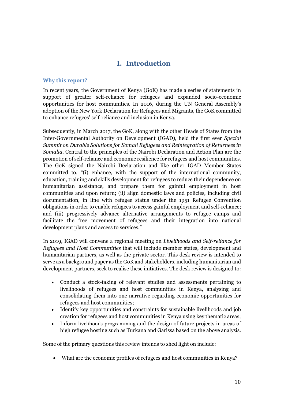## **I. Introduction**

### <span id="page-9-1"></span><span id="page-9-0"></span>**Why this report?**

In recent years, the Government of Kenya (GoK) has made a series of statements in support of greater self-reliance for refugees and expanded socio-economic opportunities for host communities. In 2016, during the UN General Assembly's adoption of the New York Declaration for Refugees and Migrants, the GoK committed to enhance refugees' self-reliance and inclusion in Kenya.

Subsequently, in March 2017, the GoK, along with the other Heads of States from the Inter-Governmental Authority on Development (IGAD), held the first ever *Special Summit on Durable Solutions for Somali Refugees and Reintegration of Returnees in Somalia*. Central to the principles of the Nairobi Declaration and Action Plan are the promotion of self-reliance and economic resilience for refugees and host communities. The GoK signed the Nairobi Declaration and like other IGAD Member States committed to, "(i) enhance, with the support of the international community, education, training and skills development for refugees to reduce their dependence on humanitarian assistance, and prepare them for gainful employment in host communities and upon return; (ii) align domestic laws and policies, including civil documentation, in line with refugee status under the 1951 Refugee Convention obligations in order to enable refugees to access gainful employment and self-reliance; and (iii) progressively advance alternative arrangements to refugee camps and facilitate the free movement of refugees and their integration into national development plans and access to services."

In 2019, IGAD will convene a regional meeting on *Livelihoods and Self-reliance for Refugees and Host Communities* that will include member states, development and humanitarian partners, as well as the private sector. This desk review is intended to serve as a background paper as the GoK and stakeholders, including humanitarian and development partners, seek to realise these initiatives. The desk review is designed to:

- Conduct a stock-taking of relevant studies and assessments pertaining to livelihoods of refugees and host communities in Kenya, analysing and consolidating them into one narrative regarding economic opportunities for refugees and host communities;
- Identify key opportunities and constraints for sustainable livelihoods and job creation for refugees and host communities in Kenya using key thematic areas;
- Inform livelihoods programming and the design of future projects in areas of high refugee hosting such as Turkana and Garissa based on the above analysis.

Some of the primary questions this review intends to shed light on include:

• What are the economic profiles of refugees and host communities in Kenya?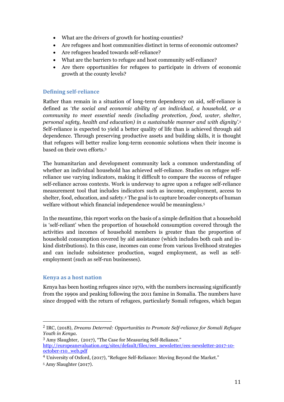- What are the drivers of growth for hosting-counties?
- Are refugees and host communities distinct in terms of economic outcomes?
- Are refugees headed towards self-reliance?
- What are the barriers to refugee and host community self-reliance?
- Are there opportunities for refugees to participate in drivers of economic growth at the county levels?

## <span id="page-10-0"></span>**Defining self-reliance**

Rather than remain in a situation of long-term dependency on aid, self-reliance is defined as '*the social and economic ability of an individual, a household, or a community to meet essential needs (including protection, food, water, shelter, personal safety, health and education) in a sustainable manner and with dignity'*. 2 Self-reliance is expected to yield a better quality of life than is achieved through aid dependence. Through preserving productive assets and building skills, it is thought that refugees will better realize long-term economic solutions when their income is based on their own efforts.<sup>3</sup>

The humanitarian and development community lack a common understanding of whether an individual household has achieved self-reliance. Studies on refugee selfreliance use varying indicators, making it difficult to compare the success of refugee self-reliance across contexts. Work is underway to agree upon a refugee self-reliance measurement tool that includes indicators such as income, employment, access to shelter, food, education, and safety.<sup>4</sup> The goal is to capture broader concepts of human welfare without which financial independence would be meaningless.<sup>5</sup>

In the meantime, this report works on the basis of a simple definition that a household is 'self-reliant' when the proportion of household consumption covered through the activities and incomes of household members is greater than the proportion of household consumption covered by aid assistance (which includes both cash and inkind distributions). In this case, incomes can come from various livelihood strategies and can include subsistence production, waged employment, as well as selfemployment (such as self-run businesses).

## <span id="page-10-1"></span>**Kenya as a host nation**

 $\overline{a}$ 

Kenya has been hosting refugees since 1970, with the numbers increasing significantly from the 1990s and peaking following the 2011 famine in Somalia. The numbers have since dropped with the return of refugees, particularly Somali refugees, which began

<sup>2</sup> IRC, (2018), *Dreams Deterred: Opportunities to Promote Self-reliance for Somali Refugee Youth in Kenya.*

<sup>3</sup> Amy Slaughter, (2017), "The Case for Measuring Self-Reliance." [http://europeanevaluation.org/sites/default/files/ees\\_newsletter/ees-newsletter-2017-10](http://europeanevaluation.org/sites/default/files/ees_newsletter/ees-newsletter-2017-10-october-r10_web.pdf) [october-r10\\_web.pdf](http://europeanevaluation.org/sites/default/files/ees_newsletter/ees-newsletter-2017-10-october-r10_web.pdf)

<sup>4</sup> University of Oxford, (2017), "Refugee Self-Reliance: Moving Beyond the Market." <sup>5</sup> Amy Slaughter (2017).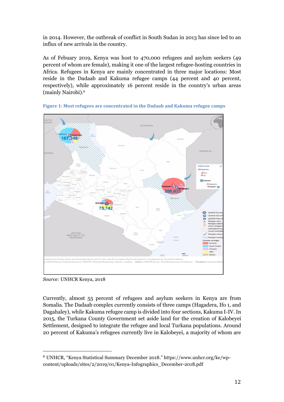in 2014. However, the outbreak of conflict in South Sudan in 2013 has since led to an influx of new arrivals in the country.

As of Febuary 2019, Kenya was host to 470,000 refugees and asylum seekers (49 percent of whom are female), making it one of the largest refugee-hosting countries in Africa. Refugees in Kenya are mainly concentrated in three major locations: Most reside in the Dadaab and Kakuma refugee camps (44 percent and 40 percent, respectively), while approximately 16 percent reside in the country's urban areas (mainly Nairobi).<sup>6</sup>





*Source:* UNHCR Kenya, 2018

 $\overline{a}$ 

Currently, almost 55 percent of refugees and asylum seekers in Kenya are from Somalia. The Dadaab complex currently consists of three camps (Hagadera, Ifo 1, and Dagahaley), while Kakuma refugee camp is divided into four sections, Kakuma I-IV. In 2015, the Turkana County Government set aside land for the creation of Kalobeyei Settlement, designed to integrate the refugee and local Turkana populations. Around 20 percent of Kakuma's refugees currently live in Kalobeyei, a majority of whom are

<sup>6</sup> UNHCR, "Kenya Statistical Summary December 2018." https://www.unhcr.org/ke/wpcontent/uploads/sites/2/2019/01/Kenya-Infographics\_December-2018.pdf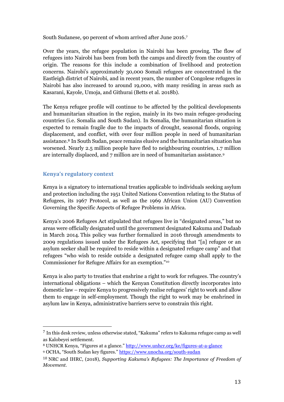South Sudanese, 90 percent of whom arrived after June 2016.<sup>7</sup>

Over the years, the refugee population in Nairobi has been growing. The flow of refugees into Nairobi has been from both the camps and directly from the country of origin. The reasons for this include a combination of livelihood and protection concerns. Nairobi's approximately 30,000 Somali refugees are concentrated in the Eastleigh district of Nairobi, and in recent years, the number of Congolese refugees in Nairobi has also increased to around 19,000, with many residing in areas such as Kasarani, Kayole, Umoja, and Githurai (Betts et al. 2018b).

The Kenya refugee profile will continue to be affected by the political developments and humanitarian situation in the region, mainly in its two main refugee-producing countries (i.e. Somalia and South Sudan). In Somalia, the humanitarian situation is expected to remain fragile due to the impacts of drought, seasonal floods, ongoing displacement, and conflict, with over four million people in need of humanitarian assistance.<sup>8</sup> In South Sudan, peace remains elusive and the humanitarian situation has worsened. Nearly 2.5 million people have fled to neighbouring countries, 1.7 million are internally displaced, and 7 million are in need of humanitarian assistance.<sup>9</sup>

## <span id="page-12-0"></span>**Kenya's regulatory context**

 $\overline{a}$ 

Kenya is a signatory to international treaties applicable to individuals seeking asylum and protection including the 1951 United Nations Convention relating to the Status of Refugees, its 1967 Protocol, as well as the 1969 African Union (AU) Convention Governing the Specific Aspects of Refugee Problems in Africa.

Kenya's 2006 Refugees Act stipulated that refugees live in "designated areas," but no areas were officially designated until the government designated Kakuma and Dadaab in March 2014. This policy was further formalized in 2016 through amendments to 2009 regulations issued under the Refugees Act, specifying that "[a] refugee or an asylum seeker shall be required to reside within a designated refugee camp" and that refugees "who wish to reside outside a designated refugee camp shall apply to the Commissioner for Refugee Affairs for an exemption."<sup>10</sup>

Kenya is also party to treaties that enshrine a right to work for refugees. The country's international obligations – which the Kenyan Constitution directly incorporates into domestic law – require Kenya to progressively realise refugees' right to work and allow them to engage in self-employment. Though the right to work may be enshrined in asylum law in Kenya, administrative barriers serve to constrain this right.

<sup>7</sup> In this desk review, unless otherwise stated, "Kakuma" refers to Kakuma refugee camp as well as Kalobeyei settlement.

<sup>&</sup>lt;sup>8</sup> UNHCR Kenya, "Figures at a glance." <http://www.unhcr.org/ke/figures-at-a-glance> <sup>9</sup> OCHA, "South Sudan key figures." <https://www.unocha.org/south-sudan>

<sup>10</sup> NRC and IHRC, (2018), *Supporting Kakuma's Refugees: The Importance of Freedom of Movement.*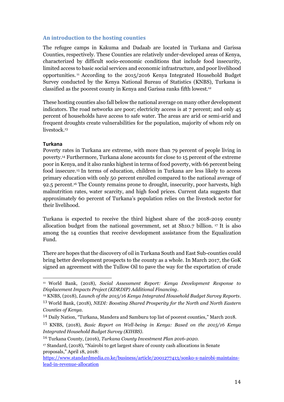#### <span id="page-13-0"></span>**An introduction to the hosting counties**

The refugee camps in Kakuma and Dadaab are located in Turkana and Garissa Counties, respectively. These Counties are relatively under-developed areas of Kenya, characterized by difficult socio-economic conditions that include food insecurity, limited access to basic social services and economic infrastructure, and poor livelihood opportunities. <sup>11</sup> According to the 2015/2016 Kenya Integrated Household Budget Survey conducted by the Kenya National Bureau of Statistics (KNBS), Turkana is classified as the poorest county in Kenya and Garissa ranks fifth lowest.<sup>12</sup>

These hosting counties also fall below the national average on many other development indicators. The road networks are poor; electricity access is at 7 percent; and only 45 percent of households have access to safe water. The areas are arid or semi-arid and frequent droughts create vulnerabilities for the population, majority of whom rely on livestock.<sup>13</sup>

#### <span id="page-13-1"></span>**Turkana**

Poverty rates in Turkana are extreme, with more than 79 percent of people living in poverty. <sup>14</sup> Furthermore, Turkana alone accounts for close to 15 percent of the extreme poor in Kenya, and it also ranks highest in terms of food poverty, with 66 percent being food insecure. <sup>15</sup> In terms of education, children in Turkana are less likely to access primary education with only 50 percent enrolled compared to the national average of 92.5 percent. <sup>16</sup> The County remains prone to drought, insecurity, poor harvests, high malnutrition rates, water scarcity, and high food prices. Current data suggests that approximately 60 percent of Turkana's population relies on the livestock sector for their livelihood.

Turkana is expected to receive the third highest share of the 2018-2019 county allocation budget from the national government, set at Sh10.7 billion. <sup>17</sup> It is also among the 14 counties that receive development assistance from the Equalization Fund.

There are hopes that the discovery of oil in Turkana South and East Sub-counties could bring better development prospects to the county as a whole. In March 2017, the GoK signed an agreement with the Tullow Oil to pave the way for the exportation of crude

 $\overline{a}$ <sup>11</sup> World Bank, (2018), *Social Assessment Report: Kenya Development Response to Displacement Impacts Project (KDRDIP) Additional Financing*.

<sup>12</sup> KNBS, (2018), *Launch of the 2015/16 Kenya Integrated Household Budget Survey Reports*. 13 World Bank, (2018), *NEDI: Boosting Shared Prosperity for the North and North Eastern Counties of Kenya.*

<sup>14</sup> Daily Nation, "Turkana, Mandera and Samburu top list of poorest counties," March 2018.

<sup>15</sup> KNBS, (2018), *Basic Report on Well-being in Kenya: Based on the 2015/16 Kenya Integrated Household Budget Survey (KIHBS).*

<sup>16</sup> Turkana County, (2016), *Turkana County Investment Plan 2016-2020*.

<sup>17</sup> Standard, (2018), "Nairobi to get largest share of county cash allocations in Senate proposals," April 18, 2018:

[https://www.standardmedia.co.ke/business/article/2001277413/sonko-s-nairobi-maintains](https://www.standardmedia.co.ke/business/article/2001277413/sonko-s-nairobi-maintains-lead-in-revenue-allocation)[lead-in-revenue-allocation](https://www.standardmedia.co.ke/business/article/2001277413/sonko-s-nairobi-maintains-lead-in-revenue-allocation)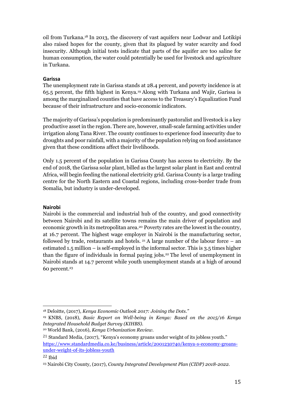oil from Turkana.<sup>18</sup> In 2013, the discovery of vast aquifers near Lodwar and Lotikipi also raised hopes for the county, given that its plagued by water scarcity and food insecurity. Although initial tests indicate that parts of the aquifer are too saline for human consumption, the water could potentially be used for livestock and agriculture in Turkana.

#### <span id="page-14-0"></span>**Garissa**

The unemployment rate in Garissa stands at 28.4 percent, and poverty incidence is at 65.5 percent, the fifth highest in Kenya.<sup>19</sup> Along with Turkana and Wajir, Garissa is among the marginalized counties that have access to the Treasury's Equalization Fund because of their infrastructure and socio-economic indicators.

The majority of Garissa's population is predominantly pastoralist and livestock is a key productive asset in the region. There are, however, small-scale farming activities under irrigation along Tana River. The county continues to experience food insecurity due to droughts and poor rainfall, with a majority of the population relying on food assistance given that these conditions affect their livelihoods.

Only 1.5 percent of the population in Garissa County has access to electricity. By the end of 2018, the Garissa solar plant, billed as the largest solar plant in East and central Africa, will begin feeding the national electricity grid. Garissa County is a large trading centre for the North Eastern and Coastal regions, including cross-border trade from Somalia, but industry is under-developed.

## <span id="page-14-1"></span>**Nairobi**

Nairobi is the commercial and industrial hub of the country, and good connectivity between Nairobi and its satellite towns remains the main driver of population and economic growth in its metropolitan area.<sup>20</sup> Poverty rates are the lowest in the country, at 16.7 percent. The highest wage employer in Nairobi is the manufacturing sector, followed by trade, restaurants and hotels.  $21$  A large number of the labour force – an estimated 1.5 million – is self-employed in the informal sector. This is 3.5 times higher than the figure of individuals in formal paying jobs.<sup>22</sup> The level of unemployment in Nairobi stands at 14.7 percent while youth unemployment stands at a high of around 60 percent. 23

 $\overline{a}$ <sup>18</sup> Deloitte, (2017), *Kenya Economic Outlook 2017: Joining the Dots."*

<sup>19</sup> KNBS, (2018), *Basic Report on Well-being in Kenya: Based on the 2015/16 Kenya Integrated Household Budget Survey (KIHBS).*

<sup>20</sup> World Bank, (2016), *Kenya Urbanization Review.*

<sup>21</sup> Standard Media, (2017), "Kenya's economy groans under weight of its jobless youth." [https://www.standardmedia.co.ke/business/article/2001230740/kenya-s-economy-groans](https://www.standardmedia.co.ke/business/article/2001230740/kenya-s-economy-groans-under-weight-of-its-jobless-youth)[under-weight-of-its-jobless-youth](https://www.standardmedia.co.ke/business/article/2001230740/kenya-s-economy-groans-under-weight-of-its-jobless-youth)

<sup>22</sup> Ibid

<sup>23</sup> Nairobi City County, (2017), *County Integrated Development Plan (CIDP) 2018-2022.*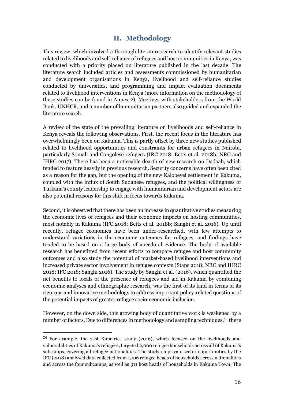## **II. Methodology**

<span id="page-15-0"></span>This review, which involved a thorough literature search to identify relevant studies related to livelihoods and self-reliance of refugees and host communities in Kenya, was conducted with a priority placed on literature published in the last decade. The literature search included articles and assessments commissioned by humanitarian and development organisations in Kenya, livelihood and self-reliance studies conducted by universities, and programming and impact evaluation documents related to livelihood interventions in Kenya (more information on the methodology of these studies can be found in Annex 2). Meetings with stakeholders from the World Bank, UNHCR, and a number of humanitarian partners also guided and expanded the literature search.

A review of the state of the prevailing literature on livelihoods and self-reliance in Kenya reveals the following observations. First, the recent focus in the literature has overwhelmingly been on Kakuma. This is partly offset by three new studies published related to livelihood opportunities and constraints for urban refugees in Nairobi, particularly Somali and Congolese refugees (IRC 2018; Betts et al. 2018b; NRC and IHRC 2017). There has been a noticeable dearth of new research on Dadaab, which tended to feature heavily in previous research. Security concerns have often been cited as a reason for the gap, but the opening of the new Kalobeyei settlement in Kakuma, coupled with the influx of South Sudanese refugees, and the political willingness of Turkana's county leadership to engage with humanitarian and development actors are also potential reasons for this shift in focus towards Kakuma.

Second, it is observed that there has been an increase in quantitative studies measuring the economic lives of refugees and their economic impacts on hosting communities, most notably in Kakuma (IFC 2018; Betts et al. 2018b; Sanghi et al. 2016). Up until recently, refugee economies have been under-researched, with few attempts to understand variations in the economic outcomes for refugees, and findings have tended to be based on a large body of anecdotal evidence. The body of available research has benefitted from recent efforts to compare refugee and host community outcomes and also study the potential of market-based livelihood interventions and increased private sector involvement in refugee contexts (Staps 2018; NRC and IHRC 2018; IFC 2018; Sanghi 2016). The study by Sanghi et al. (2016), which quantified the net benefits to locals of the presence of refugees and aid in Kakuma by combining economic analyses and ethnographic research, was the first of its kind in terms of its rigorous and innovative methodology to address important policy-related questions of the potential impacts of greater refugee socio-economic inclusion.

However, on the down side, this growing body of quantitative work is weakened by a number of factors. Due to differences in methodology and sampling techniques, <sup>24</sup> there

<sup>24</sup> For example, the vast Kimetrica study (2016), which focused on the livelihoods and vulnerabilities of Kakuma's refugees, targeted 2,000 refugee households across all of Kakuma's subcamps, covering all refugee nationalities. The study on private sector opportunities by the IFC (2018) analysed data collected from 1,106 refugee heads of households across nationalities and across the four subcamps, as well as 311 host heads of households in Kakuma Town. The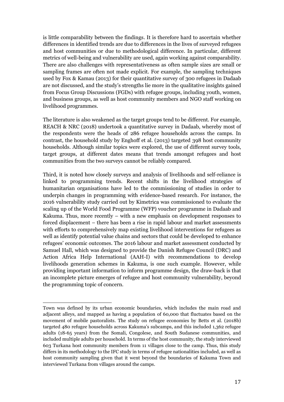is little comparability between the findings. It is therefore hard to ascertain whether differences in identified trends are due to differences in the lives of surveyed refugees and host communities or due to methodological difference. In particular, different metrics of well-being and vulnerability are used, again working against comparability. There are also challenges with representativeness as often sample sizes are small or sampling frames are often not made explicit. For example, the sampling techniques used by Fox & Kamau (2013) for their quantitative survey of 300 refugees in Dadaab are not discussed, and the study's strengths lie more in the qualitative insights gained from Focus Group Discussions (FGDs) with refugee groups, including youth, women, and business groups, as well as host community members and NGO staff working on livelihood programmes.

The literature is also weakened as the target groups tend to be different. For example, REACH & NRC (2018) undertook a quantitative survey in Dadaab, whereby most of the respondents were the heads of 286 refugee households across the camps. In contrast, the household study by Enghoff et al. (2013) targeted 398 host community households. Although similar topics were explored, the use of different survey tools, target groups, at different dates means that trends amongst refugees and host communities from the two surveys cannot be reliably compared.

Third, it is noted how closely surveys and analysis of livelihoods and self-reliance is linked to programming trends. Recent shifts in the livelihood strategies of humanitarian organisations have led to the commissioning of studies in order to underpin changes in programming with evidence-based research. For instance, the 2016 vulnerability study carried out by Kimetrica was commissioned to evaluate the scaling up of the World Food Programme (WFP) voucher programme in Dadaab and Kakuma. Thus, more recently – with a new emphasis on development responses to forced displacement – there has been a rise in rapid labour and market assessments with efforts to comprehensively map existing livelihood interventions for refugees as well as identify potential value chains and sectors that could be developed to enhance refugees' economic outcomes. The 2016 labour and market assessment conducted by Samuel Hall, which was designed to provide the Danish Refugee Council (DRC) and Action Africa Help International (AAH-I) with recommendations to develop livelihoods generation schemes in Kakuma, is one such example. However, while providing important information to inform programme design, the draw-back is that an incomplete picture emerges of refugee and host community vulnerability, beyond the programming topic of concern.

Town was defined by its urban economic boundaries, which includes the main road and adjacent alleys, and mapped as having a population of 60,000 that fluctuates based on the movement of mobile pastoralists. The study on refugee economies by Betts et al. (2018b) targeted 480 refugee households across Kakuma's subcamps, and this included 1,362 refugee adults (18-65 years) from the Somali, Congolese, and South Sudanese communities, and included multiple adults per household. In terms of the host community, the study interviewed 603 Turkana host community members from 11 villages close to the camp. Thus, this study differs in its methodology to the IFC study in terms of refugee nationalities included, as well as host community sampling given that it went beyond the boundaries of Kakuma Town and interviewed Turkana from villages around the camps.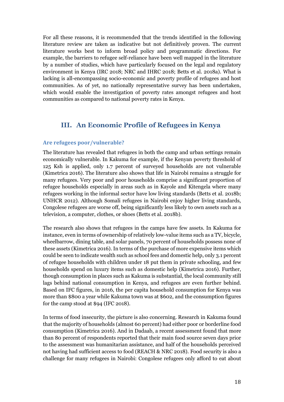For all these reasons, it is recommended that the trends identified in the following literature review are taken as indicative but not definitively proven. The current literature works best to inform broad policy and programmatic directions. For example, the barriers to refugee self-reliance have been well mapped in the literature by a number of studies, which have particularly focused on the legal and regulatory environment in Kenya (IRC 2018; NRC and IHRC 2018; Betts et al. 2018a). What is lacking is all-encompassing socio-economic and poverty profile of refugees and host communities. As of yet, no nationally representative survey has been undertaken, which would enable the investigation of poverty rates amongst refugees and host communities as compared to national poverty rates in Kenya.

## <span id="page-17-0"></span>**III. An Economic Profile of Refugees in Kenya**

#### <span id="page-17-1"></span>**Are refugees poor/vulnerable?**

The literature has revealed that refugees in both the camp and urban settings remain economically vulnerable. In Kakuma for example, if the Kenyan poverty threshold of 125 Ksh is applied, only 1.7 percent of surveyed households are not vulnerable (Kimetrica 2016). The literature also shows that life in Nairobi remains a struggle for many refugees. Very poor and poor households comprise a significant proportion of refugee households especially in areas such as in Kayole and Kitengela where many refugees working in the informal sector have low living standards (Betts et al. 2018b; UNHCR 2012). Although Somali refugees in Nairobi enjoy higher living standards, Congolese refugees are worse off, being significantly less likely to own assets such as a television, a computer, clothes, or shoes (Betts et al. 2018b).

The research also shows that refugees in the camps have few assets. In Kakuma for instance, even in terms of ownership of relatively low-value items such as a TV, bicycle, wheelbarrow, dining table, and solar panels, 70 percent of households possess none of these assets (Kimetrica 2016). In terms of the purchase of more expensive items which could be seen to indicate wealth such as school fees and domestic help, only 3.1 percent of refugee households with children under 18 put them in private schooling, and few households spend on luxury items such as domestic help (Kimetrica 2016). Further, though consumption in places such as Kakuma is substantial, the local community still lags behind national consumption in Kenya, and refugees are even further behind. Based on IFC figures, in 2016, the per capita household consumption for Kenya was more than \$800 a year while Kakuma town was at \$602, and the consumption figures for the camp stood at \$94 (IFC 2018).

In terms of food insecurity, the picture is also concerning. Research in Kakuma found that the majority of households (almost 60 percent) had either poor or borderline food consumption (Kimetrica 2016). And in Dadaab, a recent assessment found that more than 80 percent of respondents reported that their main food source seven days prior to the assessment was humanitarian assistance, and half of the households perceived not having had sufficient access to food (REACH & NRC 2018). Food security is also a challenge for many refugees in Nairobi: Congolese refugees only afford to eat about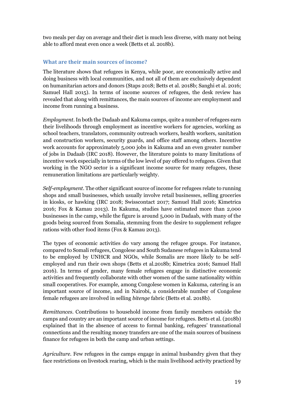two meals per day on average and their diet is much less diverse, with many not being able to afford meat even once a week (Betts et al. 2018b).

## <span id="page-18-0"></span>**What are their main sources of income?**

The literature shows that refugees in Kenya, while poor, are economically active and doing business with local communities, and not all of them are exclusively dependent on humanitarian actors and donors (Staps 2018; Betts et al. 2018b; Sanghi et al. 2016; Samuel Hall 2015). In terms of income sources of refugees, the desk review has revealed that along with remittances, the main sources of income are employment and income from running a business.

*Employment*. In both the Dadaab and Kakuma camps, quite a number of refugees earn their livelihoods through employment as incentive workers for agencies, working as school teachers, translators, community outreach workers, health workers, sanitation and construction workers, security guards, and office staff among others. Incentive work accounts for approximately 5,000 jobs in Kakuma and an even greater number of jobs in Dadaab (IRC 2018). However, the literature points to many limitations of incentive work especially in terms of the low level of pay offered to refugees. Given that working in the NGO sector is a significant income source for many refugees, these remuneration limitations are particularly weighty.

*Self-employment*. The other significant source of income for refugees relate to running shops and small businesses, which usually involve retail businesses, selling groceries in kiosks, or hawking (IRC 2018; Swisscontact 2017; Samuel Hall 2016; Kimetrica 2016; Fox & Kamau 2013). In Kakuma, studies have estimated more than 2,000 businesses in the camp, while the figure is around 5,000 in Dadaab, with many of the goods being sourced from Somalia, stemming from the desire to supplement refugee rations with other food items (Fox & Kamau 2013).

The types of economic activities do vary among the refugee groups. For instance, compared to Somali refugees, Congolese and South Sudanese refugees in Kakuma tend to be employed by UNHCR and NGOs, while Somalis are more likely to be selfemployed and run their own shops (Betts et al.2018b; Kimetrica 2016; Samuel Hall 2016). In terms of gender, many female refugees engage in distinctive economic activities and frequently collaborate with other women of the same nationality within small cooperatives. For example, among Congolese women in Kakuma, catering is an important source of income, and in Nairobi, a considerable number of Congolese female refugees are involved in selling *bitenge* fabric (Betts et al. 2018b).

*Remittances*. Contributions to household income from family members outside the camps and country are an important source of income for refugees. Betts et al. (2018b) explained that in the absence of access to formal banking, refugees' transnational connections and the resulting money transfers are one of the main sources of business finance for refugees in both the camp and urban settings.

*Agriculture.* Few refugees in the camps engage in animal husbandry given that they face restrictions on livestock rearing, which is the main livelihood activity practiced by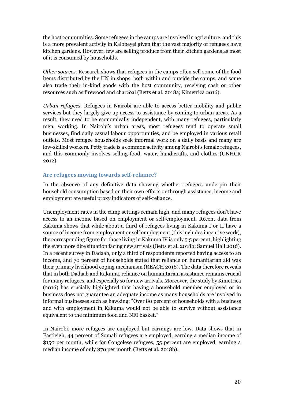the host communities. Some refugees in the camps are involved in agriculture, and this is a more prevalent activity in Kalobeyei given that the vast majority of refugees have kitchen gardens. However, few are selling produce from their kitchen gardens as most of it is consumed by households.

*Other sources*. Research shows that refugees in the camps often sell some of the food items distributed by the UN in shops, both within and outside the camps, and some also trade their in-kind goods with the host community, receiving cash or other resources such as firewood and charcoal (Betts et al. 2018a; Kimetrica 2016).

*Urban refugees.* Refugees in Nairobi are able to access better mobility and public services but they largely give up access to assistance by coming to urban areas. As a result, they need to be economically independent, with many refugees, particularly men, working. In Nairobi's urban areas, most refugees tend to operate small businesses, find daily casual labour opportunities, and be employed in various retail outlets. Most refugee households seek informal work on a daily basis and many are low-skilled workers. Petty trade is a common activity among Nairobi's female refugees, and this commonly involves selling food, water, handicrafts, and clothes (UNHCR 2012).

### <span id="page-19-0"></span>**Are refugees moving towards self-reliance?**

In the absence of any definitive data showing whether refugees underpin their household consumption based on their own efforts or through assistance, income and employment are useful proxy indicators of self-reliance.

Unemployment rates in the camp settings remain high, and many refugees don't have access to an income based on employment or self-employment. Recent data from Kakuma shows that while about a third of refugees living in Kakuma I or II have a source of income from employment or self employment (this includes incentive work), the corresponding figure for those living in Kakuma IV is only 5.5 percent, highlighting the even more dire situation facing new arrivals (Betts et al. 2018b; Samuel Hall 2016). In a recent survey in Dadaab, only a third of respondents reported having access to an income, and 70 percent of households stated that reliance on humanitarian aid was their primary livelihood coping mechanism (REACH 2018). The data therefore reveals that in both Dadaab and Kakuma, reliance on humanitarian assistance remains crucial for many refugees, and especially so for new arrivals. Moreover, the study by Kimetrica (2016) has crucially highlighted that having a household member employed or in business does not guarantee an adequate income as many households are involved in informal businesses such as hawking: "Over 80 percent of households with a business and with employment in Kakuma would not be able to survive without assistance equivalent to the minimum food and NFI basket."

In Nairobi, more refugees are employed but earnings are low. Data shows that in Eastleigh, 44 percent of Somali refugees are employed, earning a median income of \$150 per month, while for Congolese refugees, 55 percent are employed, earning a median income of only \$70 per month (Betts et al. 2018b).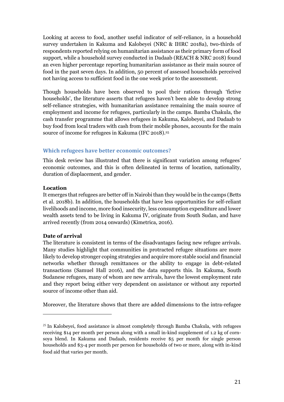Looking at access to food, another useful indicator of self-reliance, in a household survey undertaken in Kakuma and Kalobeyei (NRC & IHRC 2018a), two-thirds of respondents reported relying on humanitarian assistance as their primary form of food support, while a household survey conducted in Dadaab (REACH & NRC 2018) found an even higher percentage reporting humanitarian assistance as their main source of food in the past seven days. In addition, 50 percent of assessed households perceived not having access to sufficient food in the one week prior to the assessment.

Though households have been observed to pool their rations through 'fictive households', the literature asserts that refugees haven't been able to develop strong self-reliance strategies, with humanitarian assistance remaining the main source of employment and income for refugees, particularly in the camps. Bamba Chakula, the cash transfer programme that allows refugees in Kakuma, Kalobeyei, and Dadaab to buy food from local traders with cash from their mobile phones, accounts for the main source of income for refugees in Kakuma (IFC 2018).<sup>25</sup>

### <span id="page-20-0"></span>**Which refugees have better economic outcomes?**

This desk review has illustrated that there is significant variation among refugees' economic outcomes, and this is often delineated in terms of location, nationality, duration of displacement, and gender.

#### **Location**

It emerges that refugees are better off in Nairobi than they would be in the camps (Betts et al. 2018b). In addition, the households that have less opportunities for self-reliant livelihoods and income, more food insecurity, less consumption expenditure and lower wealth assets tend to be living in Kakuma IV, originate from South Sudan, and have arrived recently (from 2014 onwards) (Kimetrica, 2016).

#### **Date of arrival**

 $\overline{a}$ 

The literature is consistent in terms of the disadvantages facing new refugee arrivals. Many studies highlight that communities in protracted refugee situations are more likely to develop stronger coping strategies and acquire more stable social and financial networks whether through remittances or the ability to engage in debt-related transactions (Samuel Hall 2016), and the data supports this. In Kakuma, South Sudanese refugees, many of whom are new arrivals, have the lowest employment rate and they report being either very dependent on assistance or without any reported source of income other than aid.

Moreover, the literature shows that there are added dimensions to the intra-refugee

 $25$  In Kalobeyei, food assistance is almost completely through Bamba Chakula, with refugees receiving \$14 per month per person along with a small in-kind supplement of 1.2 kg of cornsoya blend. In Kakuma and Dadaab, residents receive \$5 per month for single person households and \$3-4 per month per person for households of two or more, along with in-kind food aid that varies per month.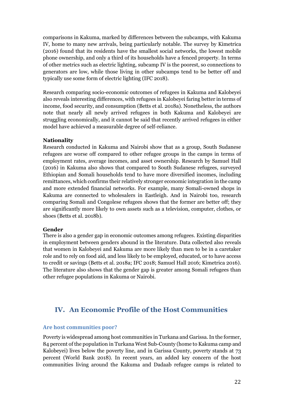comparisons in Kakuma, marked by differences between the subcamps, with Kakuma IV, home to many new arrivals, being particularly notable. The survey by Kimetrica (2016) found that its residents have the smallest social networks, the lowest mobile phone ownership, and only a third of its households have a fenced property. In terms of other metrics such as electric lighting, subcamp IV is the poorest, so connections to generators are low, while those living in other subcamps tend to be better off and typically use some form of electric lighting (IFC 2018).

Research comparing socio-economic outcomes of refugees in Kakuma and Kalobeyei also reveals interesting differences, with refugees in Kalobeyei faring better in terms of income, food security, and consumption (Betts et al. 2018a). Nonetheless, the authors note that nearly all newly arrived refugees in both Kakuma and Kalobeyei are struggling economically, and it cannot be said that recently arrived refugees in either model have achieved a measurable degree of self-reliance.

#### **Nationality**

Research conducted in Kakuma and Nairobi show that as a group, South Sudanese refugees are worse off compared to other refugee groups in the camps in terms of employment rates, average incomes, and asset ownership. Research by Samuel Hall (2016) in Kakuma also shows that compared to South Sudanese refugees, surveyed Ethiopian and Somali households tend to have more diversified incomes, including remittances, which confirms their relatively stronger economic integration in the camp and more extended financial networks. For example, many Somali-owned shops in Kakuma are connected to wholesalers in Eastleigh. And in Nairobi too, research comparing Somali and Congolese refugees shows that the former are better off; they are significantly more likely to own assets such as a television, computer, clothes, or shoes (Betts et al. 2018b).

#### **Gender**

There is also a gender gap in economic outcomes among refugees. Existing disparities in employment between genders abound in the literature. Data collected also reveals that women in Kalobeyei and Kakuma are more likely than men to be in a caretaker role and to rely on food aid, and less likely to be employed, educated, or to have access to credit or savings (Betts et al. 2018a; IFC 2018; Samuel Hall 2016; Kimetrica 2016). The literature also shows that the gender gap is greater among Somali refugees than other refugee populations in Kakuma or Nairobi.

## <span id="page-21-0"></span>**IV. An Economic Profile of the Host Communities**

#### <span id="page-21-1"></span>**Are host communities poor?**

Poverty is widespread among host communities in Turkana and Garissa. In the former, 84 percent of the population in Turkana West Sub-County (home to Kakuma camp and Kalobeyei) lives below the poverty line, and in Garissa County, poverty stands at 73 percent (World Bank 2018). In recent years, an added key concern of the host communities living around the Kakuma and Dadaab refugee camps is related to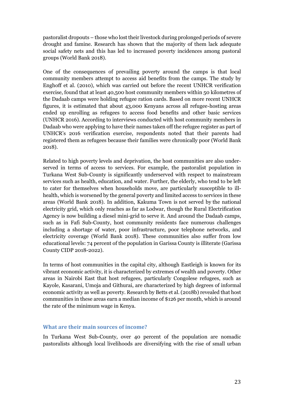pastoralist dropouts – those who lost their livestock during prolonged periods of severe drought and famine. Research has shown that the majority of them lack adequate social safety nets and this has led to increased poverty incidences among pastoral groups (World Bank 2018).

One of the consequences of prevailing poverty around the camps is that local community members attempt to access aid benefits from the camps. The study by Enghoff et al. (2010), which was carried out before the recent UNHCR verification exercise, found that at least 40,500 host community members within 50 kilometres of the Dadaab camps were holding refugee ration cards. Based on more recent UNHCR figures, it is estimated that about 43,000 Kenyans across all refugee-hosting areas ended up enrolling as refugees to access food benefits and other basic services (UNHCR 2016). According to interviews conducted with host community members in Dadaab who were applying to have their names taken off the refugee register as part of UNHCR's 2016 verification exercise, respondents noted that their parents had registered them as refugees because their families were chronically poor (World Bank 2018).

Related to high poverty levels and deprivation, the host communities are also underserved in terms of access to services. For example, the pastoralist population in Turkana West Sub-County is significantly underserved with respect to mainstream services such as health, education, and water. Further, the elderly, who tend to be left to cater for themselves when households move, are particularly susceptible to illhealth, which is worsened by the general poverty and limited access to services in these areas (World Bank 2018). In addition, Kakuma Town is not served by the national electricity grid, which only reaches as far as Lodwar, though the Rural Electrification Agency is now building a diesel mini-grid to serve it. And around the Dadaab camps, such as in Fafi Sub-County, host community residents face numerous challenges including a shortage of water, poor infrastructure, poor telephone networks, and electricity coverage (World Bank 2018). These communities also suffer from low educational levels: 74 percent of the population in Garissa County is illiterate (Garissa County CIDP 2018-2022).

In terms of host communities in the capital city, although Eastleigh is known for its vibrant economic activity, it is characterized by extremes of wealth and poverty. Other areas in Nairobi East that host refugees, particularly Congolese refugees, such as Kayole, Kasarani, Umoja and Githurai, are characterized by high degrees of informal economic activity as well as poverty. Research by Betts et al. (2018b) revealed that host communities in these areas earn a median income of \$126 per month, which is around the rate of the minimum wage in Kenya.

#### <span id="page-22-0"></span>**What are their main sources of income?**

In Turkana West Sub-County, over 40 percent of the population are nomadic pastoralists although local livelihoods are diversifying with the rise of small urban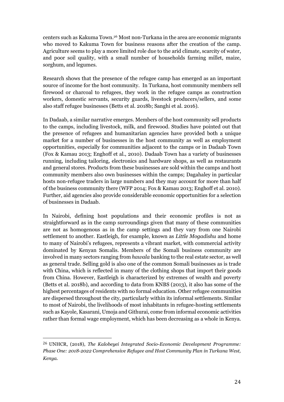centers such as Kakuma Town.<sup>26</sup> Most non-Turkana in the area are economic migrants who moved to Kakuma Town for business reasons after the creation of the camp. Agriculture seems to play a more limited role due to the arid climate, scarcity of water, and poor soil quality, with a small number of households farming millet, maize, sorghum, and legumes.

Research shows that the presence of the refugee camp has emerged as an important source of income for the host community. In Turkana, host community members sell firewood or charcoal to refugees, they work in the refugee camps as construction workers, domestic servants, security guards, livestock producers/sellers, and some also staff refugee businesses (Betts et al. 2018b; Sanghi et al. 2016).

In Dadaab, a similar narrative emerges. Members of the host community sell products to the camps, including livestock, milk, and firewood. Studies have pointed out that the presence of refugees and humanitarian agencies have provided both a unique market for a number of businesses in the host community as well as employment opportunities, especially for communities adjacent to the camps or in Dadaab Town (Fox & Kamau 2013; Enghoff et al., 2010). Dadaab Town has a variety of businesses running, including tailoring, electronics and hardware shops, as well as restaurants and general stores. Products from these businesses are sold within the camps and host community members also own businesses within the camps; Dagahaley in particular hosts non-refugee traders in large numbers and they may account for more than half of the business community there (WFP 2014; Fox & Kamau 2013; Enghoff et al. 2010). Further, aid agencies also provide considerable economic opportunities for a selection of businesses in Dadaab.

In Nairobi, defining host populations and their economic profiles is not as straightforward as in the camp surroundings given that many of these communities are not as homogenous as in the camp settings and they vary from one Nairobi settlement to another. Eastleigh, for example, known as *Little Mogadishu* and home to many of Nairobi's refugees, represents a vibrant market, with commercial activity dominated by Kenyan Somalis. Members of the Somali business community are involved in many sectors ranging from *hawala* banking to the real estate sector, as well as general trade. Selling gold is also one of the common Somali businesses as is trade with China, which is reflected in many of the clothing shops that import their goods from China. However, Eastleigh is characterized by extremes of wealth and poverty (Betts et al. 2018b), and according to data from KNBS (2013), it also has some of the highest percentages of residents with no formal education. Other refugee communities are dispersed throughout the city, particularly within its informal settlements. Similar to most of Nairobi, the livelihoods of most inhabitants in refugee-hosting settlements such as Kayole, Kasarani, Umoja and Githurai, come from informal economic activities rather than formal wage employment, which has been decreasing as a whole in Kenya.

<sup>26</sup> UNHCR, (2018), *The Kalobeyei Integrated Socio-Economic Development Programme: Phase One: 2018-2022 Comprehensive Refugee and Host Community Plan in Turkana West, Kenya*.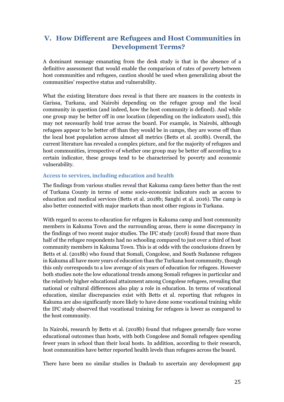## <span id="page-24-0"></span>**V. How Different are Refugees and Host Communities in Development Terms?**

A dominant message emanating from the desk study is that in the absence of a definitive assessment that would enable the comparison of rates of poverty between host communities and refugees, caution should be used when generalizing about the communities' respective status and vulnerability.

What the existing literature does reveal is that there are nuances in the contexts in Garissa, Turkana, and Nairobi depending on the refugee group and the local community in question (and indeed, how the host community is defined). And while one group may be better off in one location (depending on the indicators used), this may not necessarily hold true across the board. For example, in Nairobi, although refugees appear to be better off than they would be in camps, they are worse off than the local host population across almost all metrics (Betts et al. 2018b). Overall, the current literature has revealed a complex picture, and for the majority of refugees and host communities, irrespective of whether one group may be better off according to a certain indicator, these groups tend to be characterised by poverty and economic vulnerability.

#### <span id="page-24-1"></span>**Access to services, including education and health**

The findings from various studies reveal that Kakuma camp fares better than the rest of Turkana County in terms of some socio-economic indicators such as access to education and medical services (Betts et al. 2018b; Sanghi et al. 2016). The camp is also better connected with major markets than most other regions in Turkana.

With regard to access to education for refugees in Kakuma camp and host community members in Kakuma Town and the surrounding areas, there is some discrepancy in the findings of two recent major studies. The IFC study (2018) found that more than half of the refugee respondents had no schooling compared to just over a third of host community members in Kakuma Town. This is at odds with the conclusions drawn by Betts et al. (2018b) who found that Somali, Congolese, and South Sudanese refugees in Kakuma all have more years of education than the Turkana host community, though this only corresponds to a low average of six years of education for refugees. However both studies note the low educational trends among Somali refugees in particular and the relatively higher educational attainment among Congolese refugees, revealing that national or cultural differences also play a role in education. In terms of vocational education, similar discrepancies exist with Betts et al. reporting that refugees in Kakuma are also significantly more likely to have done some vocational training while the IFC study observed that vocational training for refugees is lower as compared to the host community.

In Nairobi, research by Betts et al. (2018b) found that refugees generally face worse educational outcomes than hosts, with both Congolese and Somali refugees spending fewer years in school than their local hosts. In addition, according to their research, host communities have better reported health levels than refugees across the board.

There have been no similar studies in Dadaab to ascertain any development gap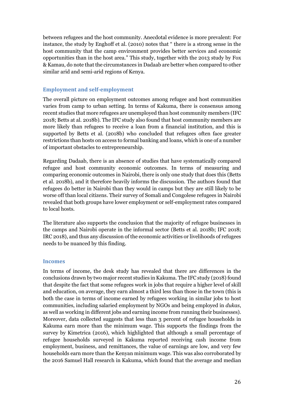between refugees and the host community. Anecdotal evidence is more prevalent: For instance, the study by Enghoff et al. (2010) notes that " there is a strong sense in the host community that the camp environment provides better services and economic opportunities than in the host area." This study, together with the 2013 study by Fox & Kamau, do note that the circumstances in Dadaab are better when compared to other similar arid and semi-arid regions of Kenya.

## <span id="page-25-0"></span>**Employment and self-employment**

The overall picture on employment outcomes among refugee and host communities varies from camp to urban setting. In terms of Kakuma, there is consensus among recent studies that more refugees are unemployed than host community members (IFC 2018; Betts at al. 2018b). The IFC study also found that host community members are more likely than refugees to receive a loan from a financial institution, and this is supported by Betts et al. (2018b) who concluded that refugees often face greater restrictions than hosts on access to formal banking and loans, which is one of a number of important obstacles to entrepreneurship.

Regarding Dadaab, there is an absence of studies that have systematically compared refugee and host community economic outcomes. In terms of measuring and comparing economic outcomes in Nairobi, there is only one study that does this (Betts et al. 2018b), and it therefore heavily informs the discussion. The authors found that refugees do better in Nairobi than they would in camps but they are still likely to be worse off than local citizens. Their survey of Somali and Congolese refugees in Nairobi revealed that both groups have lower employment or self-employment rates compared to local hosts.

The literature also supports the conclusion that the majority of refugee businesses in the camps and Nairobi operate in the informal sector (Betts et al. 2018b; IFC 2018; IRC 2018), and thus any discussion of the economic activities or livelihoods of refugees needs to be nuanced by this finding.

## <span id="page-25-1"></span>**Incomes**

In terms of income, the desk study has revealed that there are differences in the conclusions drawn by two major recent studies in Kakuma. The IFC study (2018) found that despite the fact that some refugees work in jobs that require a higher level of skill and education, on average, they earn almost a third less than those in the town (this is both the case in terms of income earned by refugees working in similar jobs to host communities, including salaried employment by NGOs and being employed in *dukas*, as well as working in different jobs and earning income from running their businesses). Moreover, data collected suggests that less than 3 percent of refugee households in Kakuma earn more than the minimum wage. This supports the findings from the survey by Kimetrica (2016), which highlighted that although a small percentage of refugee households surveyed in Kakuma reported receiving cash income from employment, business, and remittances, the value of earnings are low, and very few households earn more than the Kenyan minimum wage. This was also corroborated by the 2016 Samuel Hall research in Kakuma, which found that the average and median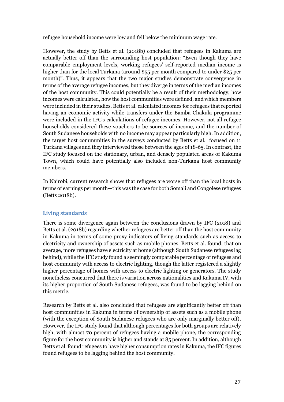refugee household income were low and fell below the minimum wage rate.

However, the study by Betts et al. (2018b) concluded that refugees in Kakuma are actually better off than the surrounding host population: "Even though they have comparable employment levels, working refugees' self-reported median income is higher than for the local Turkana (around \$55 per month compared to under \$25 per month)". Thus, it appears that the two major studies demonstrate convergence in terms of the average refugee incomes, but they diverge in terms of the median incomes of the host community. This could potentially be a result of their methodology, how incomes were calculated, how the host communities were defined, and which members were included in their studies. Betts et al. calculated incomes for refugees that reported having an economic activity while transfers under the Bamba Chakula programme were included in the IFC's calculations of refugee incomes. However, not all refugee households considered these vouchers to be sources of income, and the number of South Sudanese households with no income may appear particularly high. In addition, the target host communities in the surveys conducted by Betts et al. focused on 11 Turkana villages and they interviewed those between the ages of 18-65. In contrast, the IFC study focused on the stationary, urban, and densely populated areas of Kakuma Town, which could have potentially also included non-Turkana host community members.

In Nairobi, current research shows that refugees are worse off than the local hosts in terms of earnings per month—this was the case for both Somali and Congolese refugees (Betts 2018b).

## <span id="page-26-0"></span>**Living standards**

There is some divergence again between the conclusions drawn by IFC (2018) and Betts et al. (2018b) regarding whether refugees are better off than the host community in Kakuma in terms of some proxy indicators of living standards such as access to electricity and ownership of assets such as mobile phones. Betts et al. found, that on average, more refugees have electricity at home (although South Sudanese refugees lag behind), while the IFC study found a seemingly comparable percentage of refugees and host community with access to electric lighting, though the latter registered a slightly higher percentage of homes with access to electric lighting or generators. The study nonetheless concurred that there is variation across nationalities and Kakuma IV, with its higher proportion of South Sudanese refugees, was found to be lagging behind on this metric.

Research by Betts et al. also concluded that refugees are significantly better off than host communities in Kakuma in terms of ownership of assets such as a mobile phone (with the exception of South Sudanese refugees who are only marginally better off). However, the IFC study found that although percentages for both groups are relatively high, with almost 70 percent of refugees having a mobile phone, the corresponding figure for the host community is higher and stands at 85 percent. In addition, although Betts et al. found refugees to have higher consumption rates in Kakuma, the IFC figures found refugees to be lagging behind the host community.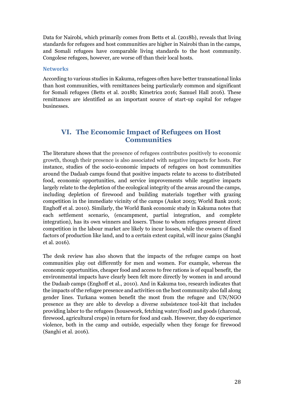Data for Nairobi, which primarily comes from Betts et al. (2018b), reveals that living standards for refugees and host communities are higher in Nairobi than in the camps, and Somali refugees have comparable living standards to the host community. Congolese refugees, however, are worse off than their local hosts.

#### <span id="page-27-0"></span>**Networks**

According to various studies in Kakuma, refugees often have better transnational links than host communities, with remittances being particularly common and significant for Somali refugees (Betts et al. 2018b; Kimetrica 2016; Samuel Hall 2016). These remittances are identified as an important source of start-up capital for refugee businesses.

## <span id="page-27-1"></span>**VI. The Economic Impact of Refugees on Host Communities**

The literature shows that the presence of refugees contributes positively to economic growth, though their presence is also associated with negative impacts for hosts. For instance, studies of the socio-economic impacts of refugees on host communities around the Dadaab camps found that positive impacts relate to access to distributed food, economic opportunities, and service improvements while negative impacts largely relate to the depletion of the ecological integrity of the areas around the camps, including depletion of firewood and building materials together with grazing competition in the immediate vicinity of the camps (Aukot 2003; World Bank 2016; Enghoff et al. 2010). Similarly, the World Bank economic study in Kakuma notes that each settlement scenario, (encampment, partial integration, and complete integration), has its own winners and losers. Those to whom refugees present direct competition in the labour market are likely to incur losses, while the owners of fixed factors of production like land, and to a certain extent capital, will incur gains (Sanghi et al. 2016).

The desk review has also shown that the impacts of the refugee camps on host communities play out differently for men and women. For example, whereas the economic opportunities, cheaper food and access to free rations is of equal benefit, the environmental impacts have clearly been felt more directly by women in and around the Dadaab camps (Enghoff et al., 2010). And in Kakuma too, research indicates that the impacts of the refugee presence and activities on the host community also fall along gender lines. Turkana women benefit the most from the refugee and UN/NGO presence as they are able to develop a diverse subsistence tool-kit that includes providing labor to the refugees (housework, fetching water/food) and goods (charcoal, firewood, agricultural crops) in return for food and cash. However, they do experience violence, both in the camp and outside, especially when they forage for firewood (Sanghi et al. 2016).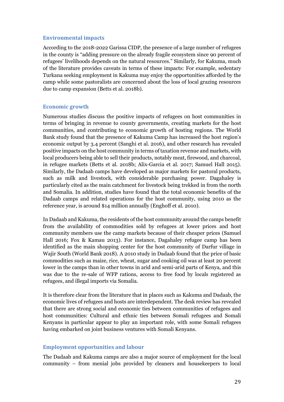### <span id="page-28-0"></span>**Environmental impacts**

According to the 2018-2022 Garissa CIDP, the presence of a large number of refugees in the county is "adding pressure on the already fragile ecosystem since 90 percent of refugees' livelihoods depends on the natural resources." Similarly, for Kakuma, much of the literature provides caveats in terms of these impacts: For example, sedentary Turkana seeking employment in Kakuma may enjoy the opportunities afforded by the camp while some pastoralists are concerned about the loss of local grazing resources due to camp expansion (Betts et al. 2018b).

#### <span id="page-28-1"></span>**Economic growth**

Numerous studies discuss the positive impacts of refugees on host communities in terms of bringing in revenue to county governments, creating markets for the host communities, and contributing to economic growth of hosting regions. The World Bank study found that the presence of Kakuma Camp has increased the host region's economic output by 3.4 percent (Sanghi et al. 2016), and other research has revealed positive impacts on the host community in terms of taxation revenue and markets, with local producers being able to sell their products, notably meat, firewood, and charcoal, in refugee markets (Betts et al. 2018b; Alix-Garcia et al. 2017; Samuel Hall 2015). Similarly, the Dadaab camps have developed as major markets for pastoral products, such as milk and livestock, with considerable purchasing power. Dagahaley is particularly cited as the main catchment for livestock being trekked in from the north and Somalia. In addition, studies have found that the total economic benefits of the Dadaab camps and related operations for the host community, using 2010 as the reference year, is around \$14 million annually (Enghoff et al. 2010).

In Dadaab and Kakuma, the residents of the host community around the camps benefit from the availability of commodities sold by refugees at lower prices and host community members use the camp markets because of their cheaper prices (Samuel Hall 2016; Fox & Kamau 2013). For instance, Dagahaley refugee camp has been identified as the main shopping center for the host community of Darfur village in Wajir South (World Bank 2018). A 2010 study in Dadaab found that the price of basic commodities such as maize, rice, wheat, sugar and cooking oil was at least 20 percent lower in the camps than in other towns in arid and semi-arid parts of Kenya, and this was due to the re-sale of WFP rations, access to free food by locals registered as refugees, and illegal imports via Somalia.

It is therefore clear from the literature that in places such as Kakuma and Dadaab, the economic lives of refugees and hosts are interdependent. The desk review has revealed that there are strong social and economic ties between communities of refugees and host communities: Cultural and ethnic ties between Somali refugees and Somali Kenyans in particular appear to play an important role, with some Somali refugees having embarked on joint business ventures with Somali Kenyans.

#### <span id="page-28-2"></span>**Employment opportunities and labour**

The Dadaab and Kakuma camps are also a major source of employment for the local community – from menial jobs provided by cleaners and housekeepers to local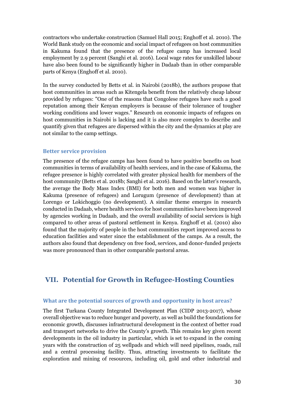contractors who undertake construction (Samuel Hall 2015; Enghoff et al. 2010). The World Bank study on the economic and social impact of refugees on host communities in Kakuma found that the presence of the refugee camp has increased local employment by 2.9 percent (Sanghi et al. 2016). Local wage rates for unskilled labour have also been found to be significantly higher in Dadaab than in other comparable parts of Kenya (Enghoff et al. 2010).

In the survey conducted by Betts et al. in Nairobi (2018b), the authors propose that host communities in areas such as Kitengela benefit from the relatively cheap labour provided by refugees: "One of the reasons that Congolese refugees have such a good reputation among their Kenyan employers is because of their tolerance of tougher working conditions and lower wages." Research on economic impacts of refugees on host communities in Nairobi is lacking and it is also more complex to describe and quantify given that refugees are dispersed within the city and the dynamics at play are not similar to the camp settings.

#### <span id="page-29-0"></span>**Better service provision**

The presence of the refugee camps has been found to have positive benefits on host communities in terms of availability of health services, and in the case of Kakuma, the refugee presence is highly correlated with greater physical health for members of the host community (Betts et al. 2018b; Sanghi et al. 2016). Based on the latter's research, the average the Body Mass Index (BMI) for both men and women was higher in Kakuma (presence of refugees) and Lorugum (presence of development) than at Lorengo or Lokichoggio (no development). A similar theme emerges in research conducted in Dadaab, where health services for host communities have been improved by agencies working in Dadaab, and the overall availability of social services is high compared to other areas of pastoral settlement in Kenya. Enghoff et al. (2010) also found that the majority of people in the host communities report improved access to education facilities and water since the establishment of the camps. As a result, the authors also found that dependency on free food, services, and donor-funded projects was more pronounced than in other comparable pastoral areas.

## <span id="page-29-1"></span>**VII. Potential for Growth in Refugee-Hosting Counties**

#### <span id="page-29-2"></span>**What are the potential sources of growth and opportunity in host areas?**

The first Turkana County Integrated Development Plan (CIDP 2013-2017), whose overall objective was to reduce hunger and poverty, as well as build the foundations for economic growth, discusses infrastructural development in the context of better road and transport networks to drive the County's growth. This remains key given recent developments in the oil industry in particular, which is [set to](https://www.tullowoil.com/Media/docs/default-source/operations/kenya-eia/stakeholder-engagement-framework-(sef).pdf?sfvrsn=0) expand in the coming years with the construction of 25 wellpads and which will need pipelines, roads, rail and a central processing facility. Thus, attracting investments to facilitate the exploration and mining of resources, including oil, gold and other industrial and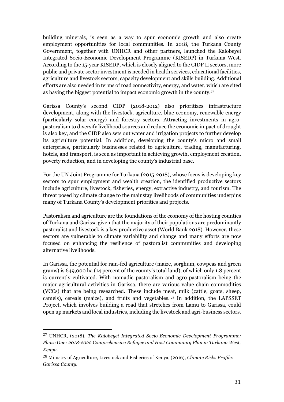building minerals, is seen as a way to spur economic growth and also create employment opportunities for local communities. In 2018, the Turkana County Government, together with UNHCR and other partners, launched the Kalobeyei Integrated Socio-Economic Development Programme (KISEDP) in Turkana West. According to the 15-year KISEDP, which is closely aligned to the CIDP II sectors, more public and private sector investment is needed in health services, educational facilities, agriculture and livestock sectors, capacity development and skills building. Additional efforts are also needed in terms of road connectivity, energy, and water, which are cited as having the biggest potential to impact economic growth in the county. 27

Garissa County's second CIDP (2018-2012) also prioritizes infrastructure development, along with the livestock, agriculture, blue economy, renewable energy (particularly solar energy) and forestry sectors. Attracting investments in agropastoralism to diversify livelihood sources and reduce the economic impact of drought is also key, and the CIDP also sets out water and irrigation projects to further develop its agriculture potential. In addition, developing the county's micro and small enterprises, particularly businesses related to agriculture, trading, manufacturing, hotels, and transport, is seen as important in achieving growth, employment creation, poverty reduction, and in developing the county's industrial base.

For the UN Joint Programme for Turkana (2015-2018), whose focus is developing key sectors to spur employment and wealth creation, the identified productive sectors include agriculture, livestock, fisheries, energy, extractive industry, and tourism. The threat posed by climate change to the mainstay livelihoods of communities underpins many of Turkana County's development priorities and projects.

Pastoralism and agriculture are the foundations of the economy of the hosting counties of Turkana and Garissa given that the majority of their populations are predominantly pastoralist and livestock is a key productive asset (World Bank 2018). However, these sectors are vulnerable to climate variability and change and many efforts are now focused on enhancing the resilience of pastoralist communities and developing alternative livelihoods.

In Garissa, the potential for rain-fed agriculture (maize, sorghum, cowpeas and green grams) is 649,000 ha (14 percent of the county's total land), of which only 1.8 percent is currently cultivated. With nomadic pastoralism and agro-pastoralism being the major agricultural activities in Garissa, there are various value chain commodities (VCCs) that are being researched. These include meat, milk (cattle, goats, sheep, camels), cereals (maize), and fruits and vegetables. <sup>28</sup> In addition, the LAPSSET Project, which involves building a road that stretches from Lamu to Garissa, could open up markets and local industries, including the livestock and agri-business sectors.

<sup>27</sup> UNHCR, (2018), *The Kalobeyei Integrated Socio-Economic Development Programme: Phase One: 2018-2022 Comprehensive Refugee and Host Community Plan in Turkana West, Kenya*.

<sup>28</sup> Ministry of Agriculture, Livestock and Fisheries of Kenya, (2016), *Climate Risks Profile: Garissa County.*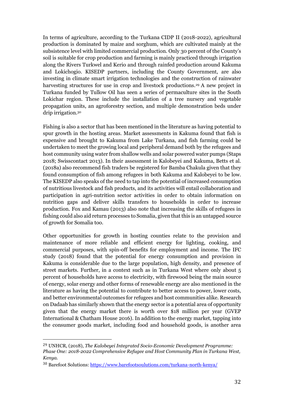In terms of agriculture, according to the Turkana CIDP II (2018-2022), agricultural production is dominated by maize and sorghum, which are cultivated mainly at the subsistence level with limited commercial production. Only 30 percent of the County's soil is suitable for crop production and farming is mainly practiced through irrigation along the Rivers Turkwel and Kerio and through rainfed production around Kakuma and Lokichogio. KISEDP partners, including the County Government, are also investing in climate smart irrigation technologies and the construction of rainwater harvesting structures for use in crop and livestock productions. <sup>29</sup> A new project in Turkana funded by Tullow Oil has seen a series of permaculture sites in the South Lokichar region. These include the installation of a tree nursery and vegetable propagation units, an agroforestry section, and multiple demonstration beds under drip irrigation.<sup>30</sup>

Fishing is also a sector that has been mentioned in the literature as having potential to spur growth in the hosting areas. Market assessments in Kakuma found that fish is expensive and brought to Kakuma from Lake Turkana, and fish farming could be undertaken to meet the growing local and peripheral demand both by the refugees and host community using water from shallow wells and solar powered water pumps (Staps 2018; Swisscontact 2013). In their assessment in Kalobeyei and Kakuma, Betts et al. (2018a) also recommend fish traders be registered for Bamba Chakula given that they found consumption of fish among refugees in both Kakuma and Kalobeyei to be low. The KISEDP also speaks of the need to tap into the potential of increased consumption of nutritious livestock and fish products, and its activities will entail collaboration and participation in agri-nutrition sector activities in order to obtain information on nutrition gaps and deliver skills transfers to households in order to increase production. Fox and Kamau (2013) also note that increasing the skills of refugees in fishing could also aid return processes to Somalia, given that this is an untapped source of growth for Somalia too.

Other opportunities for growth in hosting counties relate to the provision and maintenance of more reliable and efficient energy for lighting, cooking, and commercial purposes, with spin-off benefits for employment and income. The IFC study (2018) found that the potential for energy consumption and provision in Kakuma is considerable due to the large population, high density, and presence of street markets. Further, in a context such as in Turkana West where only about 5 percent of households have access to electricity, with firewood being the main source of energy, solar energy and other forms of renewable energy are also mentioned in the literature as having the potential to contribute to better access to power, lower costs, and better environmental outcomes for refugees and host communities alike. Research on Dadaab has similarly shown that the energy sector is a potential area of opportunity given that the energy market there is worth over \$18 million per year (GVEP International & Chatham House 2016). In addition to the energy market, tapping into the consumer goods market, including food and household goods, is another area

<sup>29</sup> UNHCR, (2018), *The Kalobeyei Integrated Socio-Economic Development Programme: Phase One: 2018-2022 Comprehensive Refugee and Host Community Plan in Turkana West, Kenya*.

<sup>30</sup> Barefoot Solutions:<https://www.barefootsoulutions.com/turkana-north-kenya/>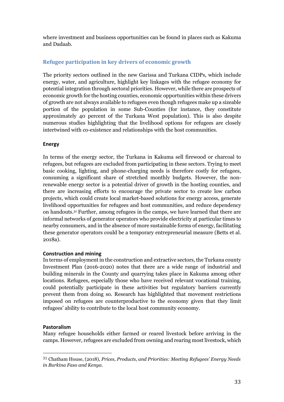where investment and business opportunities can be found in places such as Kakuma and Dadaab.

## <span id="page-32-0"></span>**Refugee participation in key drivers of economic growth**

The priority sectors outlined in the new Garissa and Turkana CIDPs, which include energy, water, and agriculture, highlight key linkages with the refugee economy for potential integration through sectoral priorities. However, while there are prospects of economic growth for the hosting counties, economic opportunities within these drivers of growth are not always available to refugees even though refugees make up a sizeable portion of the population in some Sub-Counties (for instance, they constitute approximately 40 percent of the Turkana West population). This is also despite numerous studies highlighting that the livelihood options for refugees are closely intertwined with co-existence and relationships with the host communities.

### <span id="page-32-1"></span>**Energy**

In terms of the energy sector, the Turkana in Kakuma sell firewood or charcoal to refugees, but refugees are excluded from participating in these sectors. Trying to meet basic cooking, lighting, and phone-charging needs is therefore costly for refugees, consuming a significant share of stretched monthly budgets. However, the nonrenewable energy sector is a potential driver of growth in the hosting counties, and there are increasing efforts to encourage the private sector to create low carbon projects, which could create local market-based solutions for energy access, generate livelihood opportunities for refugees and host communities, and reduce dependency on handouts. <sup>31</sup> Further, among refugees in the camps, we have learned that there are informal networks of generator operators who provide electricity at particular times to nearby consumers, and in the absence of more sustainable forms of energy, facilitating these generator operators could be a temporary entrepreneurial measure (Betts et al. 2018a).

## <span id="page-32-2"></span>**Construction and mining**

In terms of employment in the construction and extractive sectors, the Turkana county Investment Plan (2016-2020) notes that there are a wide range of industrial and building minerals in the County and quarrying takes place in Kakuma among other locations. Refugees, especially those who have received relevant vocational training, could potentially participate in these activities but regulatory barriers currently prevent them from doing so. Research has highlighted that movement restrictions imposed on refugees are counterproductive to the economy given that they limit refugees' ability to contribute to the local host community economy.

## <span id="page-32-3"></span>**Pastoralism**

 $\overline{a}$ 

Many refugee households either farmed or reared livestock before arriving in the camps. However, refugees are excluded from owning and rearing most livestock, which

<sup>31</sup> Chatham House, (2018), *Prices, Products, and Priorities: Meeting Refugees' Energy Needs in Burkina Faso and Kenya.*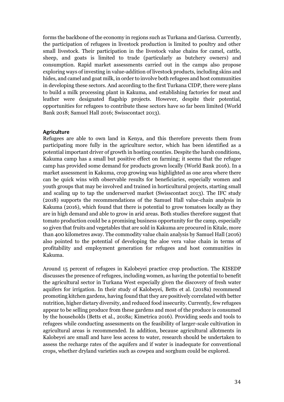forms the backbone of the economy in regions such as Turkana and Garissa. Currently, the participation of refugees in livestock production is limited to poultry and other small livestock. Their participation in the livestock value chains for camel, cattle, sheep, and goats is limited to trade (particularly as butchery owners) and consumption. Rapid market assessments carried out in the camps also propose exploring ways of investing in value-addition of livestock products, including skins and hides, and camel and goat milk, in order to involve both refugees and host communities in developing these sectors. And according to the first Turkana CIDP, there were plans to build a milk processing plant in Kakuma, and establishing factories for meat and leather were designated flagship projects. However, despite their potential, opportunities for refugees to contribute these sectors have so far been limited (World Bank 2018; Samuel Hall 2016; Swisscontact 2013).

#### <span id="page-33-0"></span>**Agriculture**

Refugees are able to own land in Kenya, and this therefore prevents them from participating more fully in the agriculture sector, which has been identified as a potential important driver of growth in hosting counties. Despite the harsh conditions, Kakuma camp has a small but positive effect on farming; it seems that the refugee camp has provided some demand for products grown locally (World Bank 2016). In a market assessment in Kakuma, crop growing was highlighted as one area where there can be quick wins with observable results for beneficiaries, especially women and youth groups that may be involved and trained in horticultural projects, starting small and scaling up to tap the underserved market (Swisscontact 2013). The IFC study (2018) supports the recommendations of the Samuel Hall value-chain analysis in Kakuma (2016), which found that there is potential to grow tomatoes locally as they are in high demand and able to grow in arid areas. Both studies therefore suggest that tomato production could be a promising business opportunity for the camp, especially so given that fruits and vegetables that are sold in Kakuma are procured in Kitale, more than 400 kilometres away. The commodity value chain analysis by Samuel Hall (2016) also pointed to the potential of developing the aloe vera value chain in terms of profitability and employment generation for refugees and host communities in Kakuma.

Around 15 percent of refugees in Kalobeyei practice crop production. The KISEDP discusses the presence of refugees, including women, as having the potential to benefit the agricultural sector in Turkana West especially given the discovery of fresh water aquifers for irrigation. In their study of Kalobeyei, Betts et al. (2018a) recommend promoting kitchen gardens, having found that they are positively correlated with better nutrition, higher dietary diversity, and reduced food insecurity. Currently, few refugees appear to be selling produce from these gardens and most of the produce is consumed by the households (Betts et al., 2018a; Kimetrica 2016). Providing seeds and tools to refugees while conducting assessments on the feasibility of larger-scale cultivation in agricultural areas is recommended. In addition, because agricultural allotments in Kalobeyei are small and have less access to water, research should be undertaken to assess the recharge rates of the aquifers and if water is inadequate for conventional crops, whether dryland varieties such as cowpea and sorghum could be explored.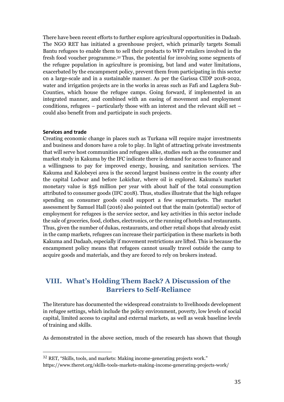There have been recent efforts to further explore agricultural opportunities in Dadaab. The NGO RET has initiated a greenhouse project, which primarily targets Somali Bantu refugees to enable them to sell their products to WFP retailers involved in the fresh food voucher programme.<sup>32</sup> Thus, the potential for involving some segments of the refugee population in agriculture is promising, but land and water limitations, exacerbated by the encampment policy, prevent them from participating in this sector on a large-scale and in a sustainable manner. As per the Garissa CIDP 2018-2022, water and irrigation projects are in the works in areas such as Fafi and Lagdera Sub-Counties, which house the refugee camps. Going forward, if implemented in an integrated manner, and combined with an easing of movement and employment conditions, refugees – particularly those with an interest and the relevant skill set – could also benefit from and participate in such projects.

#### <span id="page-34-0"></span>**Services and trade**

 $\overline{a}$ 

Creating economic change in places such as Turkana will require major investments and business and donors have a role to play. In light of attracting private investments that will serve host communities and refugees alike, studies such as the consumer and market study in Kakuma by the IFC indicate there is demand for access to finance and a willingness to pay for improved energy, housing, and sanitation services. The Kakuma and Kalobeyei area is the second largest business centre in the county after the capital Lodwar and before Lokichar, where oil is explored. Kakuma's market monetary value is \$56 million per year with about half of the total consumption attributed to consumer goods (IFC 2018). Thus, studies illustrate that the high refugee spending on consumer goods could support a few supermarkets. The market assessment by Samuel Hall (2016) also pointed out that the main (potential) sector of employment for refugees is the service sector, and key activities in this sector include the sale of groceries, food, clothes, electronics, or the running of hotels and restaurants. Thus, given the number of dukas, restaurants, and other retail shops that already exist in the camp markets, refugees can increase their participation in these markets in both Kakuma and Dadaab, especially if movement restrictions are lifted. This is because the encampment policy means that refugees cannot usually travel outside the camp to acquire goods and materials, and they are forced to rely on brokers instead.

## <span id="page-34-1"></span>**VIII. What's Holding Them Back? A Discussion of the Barriers to Self-Reliance**

The literature has documented the widespread constraints to livelihoods development in refugee settings, which include the policy environment, poverty, low levels of social capital, limited access to capital and external markets, as well as weak baseline levels of training and skills.

As demonstrated in the above section, much of the research has shown that though

<sup>32</sup> RET, "Skills, tools, and markets: Making income-generating projects work." https://www.theret.org/skills-tools-markets-making-income-generating-projects-work/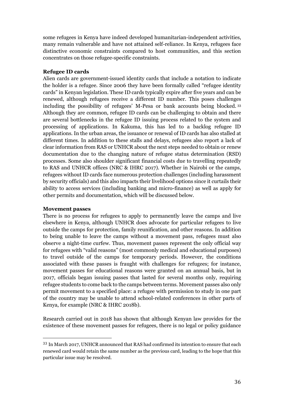some refugees in Kenya have indeed developed humanitarian-independent activities, many remain vulnerable and have not attained self-reliance. In Kenya, refugees face distinctive economic constraints compared to host communities, and this section concentrates on those refugee-specific constraints.

#### **Refugee ID cards**

Alien cards are government-issued identity cards that include a notation to indicate the holder is a refugee. Since 2006 they have been formally called "refugee identity cards" in Kenyan legislation. These ID cards typically expire after five years and can be renewed, although refugees receive a different ID number. This poses challenges including the possibility of refugees' M-Pesa or bank accounts being blocked. <sup>33</sup> Although they are common, refugee ID cards can be challenging to obtain and there are several bottlenecks in the refugee ID issuing process related to the system and processing of applications. In Kakuma, this has led to a backlog refugee ID applications. In the urban areas, the issuance or renewal of ID cards has also stalled at different times. In addition to these stalls and delays, refugees also report a lack of clear information from RAS or UNHCR about the next steps needed to obtain or renew documentation due to the changing nature of refugee status determination (RSD) processes. Some also shoulder significant financial costs due to travelling repeatedly to RAS and UNHCR offices (NRC & IHRC 2017). Whether in Nairobi or the camps, refugees without ID cards face numerous protection challenges (including harassment by security officials) and this also impacts their livelihood options since it curtails their ability to access services (including banking and micro-finance) as well as apply for other permits and documentation, which will be discussed below.

#### **Movement passes**

 $\overline{a}$ 

There is no process for refugees to apply to permanently leave the camps and live elsewhere in Kenya, although UNHCR does advocate for particular refugees to live outside the camps for protection, family reunification, and other reasons. In addition to being unable to leave the camps without a movement pass, refugees must also observe a night-time curfew. Thus, movement passes represent the only official way for refugees with "valid reasons" (most commonly medical and educational purposes) to travel outside of the camps for temporary periods. However, the conditions associated with these passes is fraught with challenges for refugees; for instance, movement passes for educational reasons were granted on an annual basis, but in 2017, officials began issuing passes that lasted for several months only, requiring refugee students to come back to the camps between terms. Movement passes also only permit movement to a specified place: a refugee with permission to study in one part of the country may be unable to attend school-related conferences in other parts of Kenya, for example (NRC & IHRC 2018b).

Research carried out in 2018 has shown that although Kenyan law provides for the existence of these movement passes for refugees, there is no legal or policy guidance

<sup>33</sup> In March 2017, UNHCR announced that RAS had confirmed its intention to ensure that each renewed card would retain the same number as the previous card, leading to the hope that this particular issue may be resolved.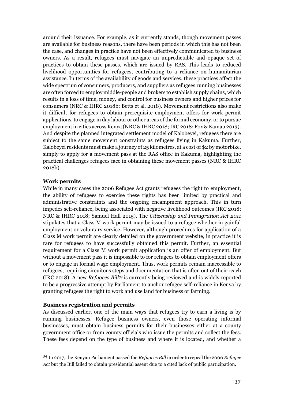around their issuance. For example, as it currently stands, though movement passes are available for business reasons, there have been periods in which this has not been the case, and changes in practice have not been effectively communicated to business owners. As a result, refugees must navigate an unpredictable and opaque set of practices to obtain these passes, which are issued by RAS. This leads to reduced livelihood opportunities for refugees, contributing to a reliance on humanitarian assistance. In terms of the availability of goods and services, these practices affect the wide spectrum of consumers, producers, and suppliers as refugees running businesses are often forced to employ middle-people and brokers to establish supply chains, which results in a loss of time, money, and control for business owners and higher prices for consumers (NRC & IHRC 2018b; Betts et al. 2018). Movement restrictions also make it difficult for refugees to obtain prerequisite employment offers for work permit applications, to engage in day labour or other areas of the formal economy, or to pursue employment in cities across Kenya (NRC & IHRC 2018; IRC 2018; Fox & Kamau 2013). And despite the planned integrated settlement model of Kalobeyei, refugees there are subject to the same movement constraints as refugees living in Kakuma. Further, Kalobeyei residents must make a journey of 25 kilometres, at a cost of \$2 by motorbike, simply to apply for a movement pass at the RAS office in Kakuma, highlighting the practical challenges refugees face in obtaining these movement passes (NRC & IHRC 2018b).

#### **Work permits**

 $\overline{a}$ 

While in many cases the 2006 Refugee Act grants refugees the right to employment, the ability of refugees to exercise these rights has been limited by practical and administrative constraints and the ongoing encampment approach. This in turn impedes self-reliance, being associated with negative livelihood outcomes (IRC 2018; NRC & IHRC 2018; Samuel Hall 2015). The *Citizenship and Immigration Act 2011*  stipulates that a Class M work permit may be issued to a refugee whether in gainful employment or voluntary service. However, although procedures for application of a Class M work permit are clearly detailed on the government website, in practice it is rare for refugees to have successfully obtained this permit. Further, an essential requirement for a Class M work permit application is an offer of employment. But without a movement pass it is impossible to for refugees to obtain employment offers or to engage in formal wage employment. Thus, work permits remain inaccessible to refugees, requiring circuitous steps and documentation that is often out of their reach (IRC 2018). A new *Refugees Bill<sup>34</sup>* is currently being reviewed and is widely reported to be a progressive attempt by Parliament to anchor refugee self-reliance in Kenya by granting refugees the right to work and use land for business or farming.

#### **Business registration and permits**

As discussed earlier, one of the main ways that refugees try to earn a living is by running businesses. Refugee business owners, even those operating informal businesses, must obtain business permits for their businesses either at a county government office or from county officials who issue the permits and collect the fees. These fees depend on the type of business and where it is located, and whether a

<sup>34</sup> In 2017, the Kenyan Parliament passed the *Refugees Bill* in order to repeal the 2006 *Refugee Act* but the Bill failed to obtain presidential assent due to a cited lack of public participation.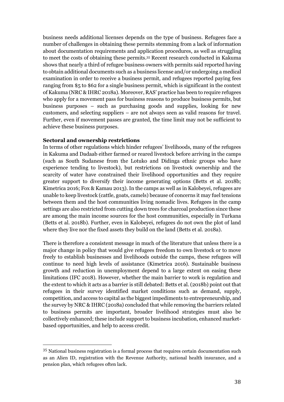business needs additional licenses depends on the type of business. Refugees face a number of challenges in obtaining these permits stemming from a lack of information about documentation requirements and application procedures, as well as struggling to meet the costs of obtaining these permits. <sup>35</sup> Recent research conducted in Kakuma shows that nearly a third of refugee business owners with permits said reported having to obtain additional documents such as a business license and/or undergoing a medical examination in order to receive a business permit, and refugees reported paying fees ranging from \$5 to \$62 for a single business permit, which is significant in the context of Kakuma (NRC & IHRC 2018a). Moreover, RAS' practice has been to require refugees who apply for a movement pass for business reasons to produce business permits, but business purposes – such as purchasing goods and supplies, looking for new customers, and selecting suppliers – are not always seen as valid reasons for travel. Further, even if movement passes are granted, the time limit may not be sufficient to achieve these business purposes.

#### **Sectoral and ownership restrictions**

 $\overline{a}$ 

In terms of other regulations which hinder refugees' livelihoods, many of the refugees in Kakuma and Dadaab either farmed or reared livestock before arriving in the camps (such as South Sudanese from the Lotuko and Didinga ethnic groups who have experience tending to livestock), but restrictions on livestock ownership and the scarcity of water have constrained their livelihood opportunities and they require greater support to diversify their income generating options (Betts et al. 2018b; Kimetrica 2016; Fox & Kamau 2013). In the camps as well as in Kalobeyei, refugees are unable to keep livestock (cattle, goats, camels) because of concerns it may fuel tensions between them and the host communities living nomadic lives. Refugees in the camp settings are also restricted from cutting down trees for charcoal production since these are among the main income sources for the host communities, especially in Turkana (Betts et al. 2018b). Further, even in Kalobeyei, refugees do not own the plot of land where they live nor the fixed assets they build on the land (Betts et al. 2018a).

There is therefore a consistent message in much of the literature that unless there is a major change in policy that would give refugees freedom to own livestock or to move freely to establish businesses and livelihoods outside the camps, these refugees will continue to need high levels of assistance (Kimetrica 2016). Sustainable business growth and reduction in unemployment depend to a large extent on easing these limitations (IFC 2018). However, whether the main barrier to work is regulation and the extent to which it acts as a barrier is still debated: Betts et al. (2018b) point out that refugees in their survey identified market conditions such as demand, supply, competition, and access to capital as the biggest impediments to entrepreneurship, and the survey by NRC & IHRC (2018a) concluded that while removing the barriers related to business permits are important, broader livelihood strategies must also be collectively enhanced; these include support to business incubation, enhanced marketbased opportunities, and help to access credit.

<sup>35</sup> National business registration is a formal process that requires certain documentation such as an Alien ID, registration with the Revenue Authority, national health insurance, and a pension plan, which refugees often lack.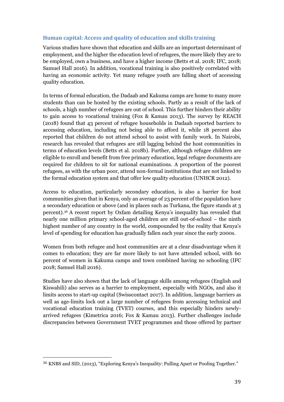## <span id="page-38-0"></span>**Human capital: Access and quality of education and skills training**

Various studies have shown that education and skills are an important determinant of employment, and the higher the education level of refugees, the more likely they are to be employed, own a business, and have a higher income (Betts et al. 2018; IFC, 2018; Samuel Hall 2016). In addition, vocational training is also positively correlated with having an economic activity. Yet many refugee youth are falling short of accessing quality education.

In terms of formal education, the Dadaab and Kakuma camps are home to many more students than can be hosted by the existing schools. Partly as a result of the lack of schools, a high number of refugees are out of school. This further hinders their ability to gain access to vocational training (Fox & Kamau 2013). The survey by REACH (2018) found that 43 percent of refugee households in Dadaab reported barriers to accessing education, including not being able to afford it, while 18 percent also reported that children do not attend school to assist with family work. In Nairobi, research has revealed that refugees are still lagging behind the host communities in terms of education levels (Betts et al. 2018b). Further, although refugee children are eligible to enroll and benefit from free primary education, legal refugee documents are required for children to sit for national examinations. A proportion of the poorest refugees, as with the urban poor, attend non-formal institutions that are not linked to the formal education system and that offer low quality education (UNHCR 2012).

Access to education, particularly secondary education, is also a barrier for host communities given that in Kenya, only an average of 23 percent of the population have a secondary education or above (and in places such as Turkana, the figure stands at 3 percent).<sup>36</sup> A recent report by Oxfam detailing Kenya's inequality has revealed that nearly one million primary school-aged children are still out-of-school – the ninth highest number of any country in the world, compounded by the reality that Kenya's level of spending for education has gradually fallen each year since the early 2000s.

Women from both refugee and host communities are at a clear disadvantage when it comes to education; they are far more likely to not have attended school, with 60 percent of women in Kakuma camps and town combined having no schooling (IFC 2018; Samuel Hall 2016).

Studies have also shown that the lack of language skills among refugees (English and Kiswahili) also serves as a barrier to employment, especially with NGOs, and also it limits access to start-up capital (Swisscontact 2017). In addition, language barriers as well as age-limits lock out a large number of refugees from accessing technical and vocational education training (TVET) courses, and this especially hinders newlyarrived refugees (Kimetrica 2016; Fox & Kamau 2013). Further challenges include discrepancies between Government TVET programmes and those offered by partner

<sup>36</sup> KNBS and SID, (2013), "Exploring Kenya's Inequality: Pulling Apart or Pooling Together."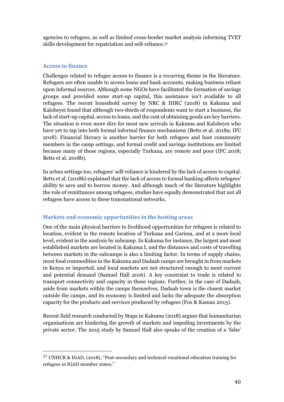agencies to refugees, as well as limited cross-border market analysis informing TVET skills development for repatriation and self-reliance. 37

### <span id="page-39-0"></span>**Access to finance**

 $\overline{a}$ 

Challenges related to refugee access to finance is a recurring theme in the literature. Refugees are often unable to access loans and bank accounts, making business reliant upon informal sources. Although some NGOs have facilitated the formation of savings groups and provided some start-up capital, this assistance isn't available to all refugees. The recent household survey by NRC & IHRC (2018) in Kakuma and Kalobeyei found that although two-thirds of respondents want to start a business, the lack of start-up capital, access to loans, and the cost of obtaining goods are key barriers. The situation is even more dire for most new arrivals in Kakuma and Kalobeyei who have yet to tap into both formal informal finance mechanisms (Betts et al. 2018a; IFC 2018). Financial literacy is another barrier for both refugees and host community members in the camp settings, and formal credit and savings institutions are limited because many of these regions, especially Turkana, are remote and poor (IFC 2018; Betts et al. 2018b).

In urban settings too, refugees' self-reliance is hindered by the lack of access to capital. Betts et al. (2018b) explained that the lack of access to formal banking affects refugees' ability to save and to borrow money. And although much of the literature highlights the role of remittances among refugees, studies have equally demonstrated that not all refugees have access to these transnational networks.

## <span id="page-39-1"></span>**Markets and economic opportunities in the hosting areas**

One of the main physical barriers to livelihood opportunities for refugees is related to location, evident in the remote location of Turkana and Garissa, and at a more local level, evident in the analysis by subcamp. In Kakuma for instance, the largest and most established markets are located in Kakuma I, and the distances and costs of travelling between markets in the subcamps is also a limiting factor. In terms of supply chains, most food commodities in the Kakuma and Dadaab camps are brought in from markets in Kenya or imported, and local markets are not structured enough to meet current and potential demand (Samuel Hall 2016). A key constraint to trade is related to transport connectivity and capacity in these regions. Further, in the case of Dadaab, aside from markets within the camps themselves, Dadaab town is the closest market outside the camps, and its economy is limited and lacks the adequate the absorption capacity for the products and services produced by refugees (Fox & Kamau 2013).

Recent field research conducted by Staps in Kakuma (2018) argues that humanitarian organisations are hindering the growth of markets and impeding investments by the private sector. The 2015 study by Samuel Hall also speaks of the creation of a 'false'

<sup>37</sup> UNHCR & IGAD, (2018), "Post-secondary and technical vocational education training for refugees in IGAD member states."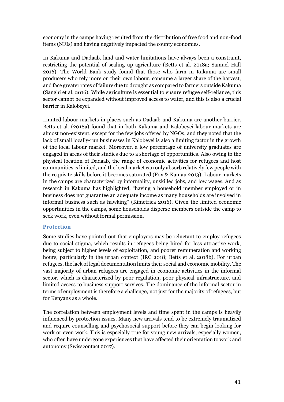economy in the camps having resulted from the distribution of free food and non-food items (NFIs) and having negatively impacted the county economies.

In Kakuma and Dadaab, land and water limitations have always been a constraint, restricting the potential of scaling up agriculture (Betts et al. 2018a; Samuel Hall 2016). The World Bank study found that those who farm in Kakuma are small producers who rely more on their own labour, consume a larger share of the harvest, and face greater rates of failure due to drought as compared to farmers outside Kakuma (Sanghi et al. 2016). While agriculture is essential to ensure refugee self-reliance, this sector cannot be expanded without improved access to water, and this is also a crucial barrier in Kalobeyei.

Limited labour markets in places such as Dadaab and Kakuma are another barrier. Betts et al. (2018a) found that in both Kakuma and Kalobeyei labour markets are almost non-existent, except for the few jobs offered by NGOs, and they noted that the lack of small locally-run businesses in Kalobeyei is also a limiting factor in the growth of the local labour market. Moreover, a low percentage of university graduates are engaged in areas of their studies due to a shortage of opportunities. Also owing to the physical location of Dadaab, the range of economic activities for refugees and host communities is limited, and the local market can only absorb relatively few people with the requisite skills before it becomes saturated (Fox & Kamau 2013). Labour markets in the camps are characterized by informality, unskilled jobs, and low wages. And as research in Kakuma has highlighted, "having a household member employed or in business does not guarantee an adequate income as many households are involved in informal business such as hawking" (Kimetrica 2016). Given the limited economic opportunities in the camps, some households disperse members outside the camp to seek work, even without formal permission.

## <span id="page-40-0"></span>**Protection**

Some studies have pointed out that employers may be reluctant to employ refugees due to social stigma, which results in refugees being hired for less attractive work, being subject to higher levels of exploitation, and poorer remuneration and working hours, particularly in the urban context (IRC 2018; Betts et al. 2018b). For urban refugees, the lack of legal documentation limits their social and economic mobility. The vast majority of urban refugees are engaged in economic activities in the informal sector, which is characterized by poor regulation, poor physical infrastructure, and limited access to business support services. The dominance of the informal sector in terms of employment is therefore a challenge, not just for the majority of refugees, but for Kenyans as a whole.

The correlation between employment levels and time spent in the camps is heavily influenced by protection issues. Many new arrivals tend to be extremely traumatized and require counselling and psychosocial support before they can begin looking for work or even work. This is especially true for young new arrivals, especially women, who often have undergone experiences that have affected their orientation to work and autonomy (Swisscontact 2017).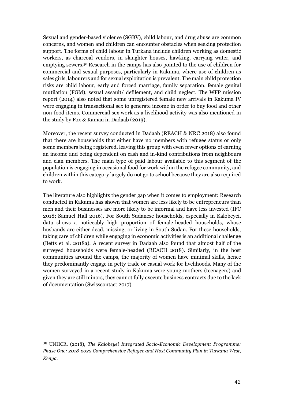Sexual and gender-based violence (SGBV), child labour, and drug abuse are common concerns, and women and children can encounter obstacles when seeking protection support. The forms of child labour in Turkana include children working as domestic workers, as charcoal vendors, in slaughter houses, hawking, carrying water, and emptying sewers. <sup>38</sup> Research in the camps has also pointed to the use of children for commercial and sexual purposes, particularly in Kakuma, where use of children as sales girls, labourers and for sexual exploitation is prevalent. The main child protection risks are child labour, early and forced marriage, family separation, female genital mutilation (FGM), sexual assault/ defilement, and child neglect. The WFP mission report (2014) also noted that some unregistered female new arrivals in Kakuma IV were engaging in transactional sex to generate income in order to buy food and other non-food items. Commercial sex work as a livelihood activity was also mentioned in the study by Fox & Kamau in Dadaab (2013).

Moreover, the recent survey conducted in Dadaab (REACH & NRC 2018) also found that there are households that either have no members with refugee status or only some members being registered, leaving this group with even fewer options of earning an income and being dependent on cash and in-kind contributions from neighbours and clan members. The main type of paid labour available to this segment of the population is engaging in occasional food for work within the refugee community, and children within this category largely do not go to school because they are also required to work.

The literature also highlights the gender gap when it comes to employment: Research conducted in Kakuma has shown that women are less likely to be entrepreneurs than men and their businesses are more likely to be informal and have less invested (IFC 2018; Samuel Hall 2016). For South Sudanese households, especially in Kalobeyei, data shows a noticeably high proportion of female-headed households, whose husbands are either dead, missing, or living in South Sudan. For these households, taking care of children while engaging in economic activities is an additional challenge (Betts et al. 2018a). A recent survey in Dadaab also found that almost half of the surveyed households were female-headed (REACH 2018). Similarly, in the host communities around the camps, the majority of women have minimal skills, hence they predominantly engage in petty trade or casual work for livelihoods. Many of the women surveyed in a recent study in Kakuma were young mothers (teenagers) and given they are still minors, they cannot fully execute business contracts due to the lack of documentation (Swisscontact 2017).

<sup>38</sup> UNHCR, (2018), *The Kalobeyei Integrated Socio-Economic Development Programme: Phase One: 2018-2022 Comprehensive Refugee and Host Community Plan in Turkana West, Kenya*.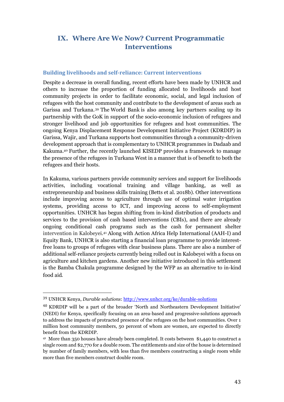## <span id="page-42-0"></span>**IX. Where Are We Now? Current Programmatic Interventions**

#### <span id="page-42-1"></span>**Building livelihoods and self-reliance: Current interventions**

Despite a decrease in overall funding, recent efforts have been made by UNHCR and others to increase the proportion of funding allocated to livelihoods and host community projects in order to facilitate economic, social, and legal inclusion of refugees with the host community and contribute to the development of areas such as Garissa and Turkana. <sup>39</sup> The World Bank is also among key partners scaling up its partnership with the GoK in support of the socio-economic inclusion of refugees and stronger livelihood and job opportunities for refugees and host communities. The ongoing Kenya Displacement Response Development Initiative Project (KDRDIP) in Garissa, Wajir, and Turkana supports host communities through a community-driven development approach that is complementary to UNHCR programmes in Dadaab and Kakuma.<sup>40</sup> Further, the recently launched KISEDP provides a framework to manage the presence of the refugees in Turkana West in a manner that is of benefit to both the refugees and their hosts.

In Kakuma, various partners provide community services and support for livelihoods activities, including vocational training and village banking, as well as entrepreneurship and business skills training (Betts et al. 2018b). Other interventions include improving access to agriculture through use of optimal water irrigation systems, providing access to ICT, and improving access to self-employment opportunities. UNHCR has begun shifting from in-kind distribution of products and services to the provision of cash based interventions (CBIs), and there are already ongoing conditional cash programs such as the cash for permanent shelter intervention in Kalobeyei. <sup>41</sup> Along with Action Africa Help International (AAH-I) and Equity Bank, UNHCR is also starting a financial loan programme to provide interestfree loans to groups of refugees with clear business plans. There are also a number of additional self-reliance projects currently being rolled out in Kalobeyei with a focus on agriculture and kitchen gardens. Another new initiative introduced in this settlement is the Bamba Chakula programme designed by the WFP as an alternative to in-kind food aid.

<sup>39</sup> UNHCR Kenya, *Durable solutions*[: http://www.unhcr.org/ke/durable-solutions](http://www.unhcr.org/ke/durable-solutions)

<sup>40</sup> KDRDIP will be a part of the broader 'North and Northeastern Development Initiative' (NEDI) for Kenya, specifically focusing on an area‐based and progressive‐solutions approach to address the impacts of protracted presence of the refugees on the host communities. Over 1 million host community members, 50 percent of whom are women, are expected to directly benefit from the KDRDIP.

<sup>41</sup> More than 350 houses have already been completed. It costs between \$1,440 to construct a single room and \$2,770 for a double room. The entitlements and size of the house is determined by number of family members, with less than five members constructing a single room while more than five members construct double room.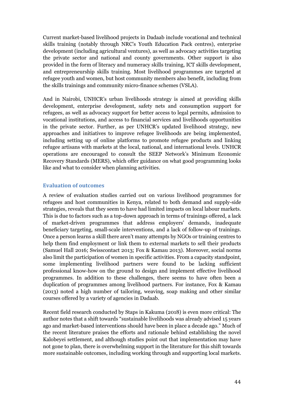Current market-based livelihood projects in Dadaab include vocational and technical skills training (notably through NRC's Youth Education Pack centres), enterprise development (including agricultural ventures), as well as advocacy activities targeting the private sector and national and county governments. Other support is also provided in the form of literacy and numeracy skills training, ICT skills development, and entrepreneurship skills training. Most livelihood programmes are targeted at refugee youth and women, but host community members also benefit, including from the skills trainings and community micro-finance schemes (VSLA).

And in Nairobi, UNHCR's urban livelihoods strategy is aimed at providing skills development, enterprise development, safety nets and consumption support for refugees, as well as advocacy support for better access to legal permits, admission to vocational institutions, and access to financial services and livelihoods opportunities in the private sector. Further, as per UNHCR's updated livelihood strategy, new approaches and initiatives to improve refugee livelihoods are being implemented, including setting up of online platforms to promote refugee products and linking refugee artisans with markets at the local, national, and international levels. UNHCR operations are encouraged to consult the SEEP Network's Minimum Economic Recovery Standards (MERS), which offer guidance on what good programming looks like and what to consider when planning activities.

#### <span id="page-43-0"></span>**Evaluation of outcomes**

A review of evaluation studies carried out on various livelihood programmes for refugees and host communities in Kenya, related to both demand and supply-side strategies, reveals that they seem to have had limited impacts on local labour markets. This is due to factors such as a top-down approach in terms of trainings offered, a lack of market-driven programmes that address employers' demands, inadequate beneficiary targeting, small-scale interventions, and a lack of follow-up of trainings. Once a person learns a skill there aren't many attempts by NGOs or training centres to help them find employment or link them to external markets to sell their products (Samuel Hall 2016; Swisscontact 2013; Fox & Kamau 2013). Moreover, social norms also limit the participation of women in specific activities. From a capacity standpoint, some implementing livelihood partners were found to be lacking sufficient professional know-how on the ground to design and implement effective livelihood programmes. In addition to these challenges, there seems to have often been a duplication of programmes among livelihood partners. For instance, Fox & Kamau (2013) noted a high number of tailoring, weaving, soap making and other similar courses offered by a variety of agencies in Dadaab.

Recent field research conducted by Staps in Kakuma (2018) is even more critical: The author notes that a shift towards "sustainable livelihoods was already advised 15 years ago and market-based interventions should have been in place a decade ago." Much of the recent literature praises the efforts and rationale behind establishing the novel Kalobeyei settlement, and although studies point out that implementation may have not gone to plan, there is overwhelming support in the literature for this shift towards more sustainable outcomes, including working through and supporting local markets.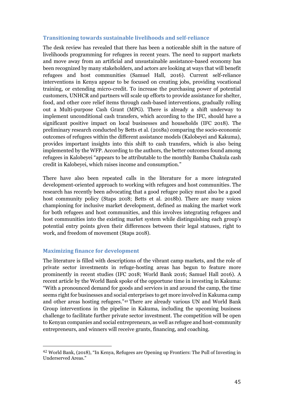### <span id="page-44-0"></span>**Transitioning towards sustainable livelihoods and self-reliance**

The desk review has revealed that there has been a noticeable shift in the nature of livelihoods programming for refugees in recent years. The need to support markets and move away from an artificial and unsustainable assistance-based economy has been recognized by many stakeholders, and actors are looking at ways that will benefit refugees and host communities (Samuel Hall, 2016). Current self-reliance interventions in Kenya appear to be focused on creating jobs, providing vocational training, or extending micro-credit. To increase the purchasing power of potential customers, UNHCR and partners will scale up efforts to provide assistance for shelter, food, and other core relief items through cash-based interventions, gradually rolling out a Multi-purpose Cash Grant (MPG). There is already a shift underway to implement unconditional cash transfers, which according to the IFC, should have a significant positive impact on local businesses and households (IFC 2018). The preliminary research conducted by Betts et al. (2018a) comparing the socio-economic outcomes of refugees within the different assistance models (Kalobeyei and Kakuma), provides important insights into this shift to cash transfers, which is also being implemented by the WFP. According to the authors, the better outcomes found among refugees in Kalobeyei "appears to be attributable to the monthly Bamba Chakula cash credit in Kalobeyei, which raises income and consumption."

There have also been repeated calls in the literature for a more integrated development-oriented approach to working with refugees and host communities. The research has recently been advocating that a good refugee policy must also be a good host community policy (Staps 2018; Betts et al. 2018b). There are many voices championing for inclusive market development, defined as making the market work for both refugees and host communities, and this involves integrating refugees and host communities into the existing market system while distinguishing each group's potential entry points given their differences between their legal statuses, right to work, and freedom of movement (Staps 2018).

## <span id="page-44-1"></span>**Maximizing finance for development**

 $\overline{a}$ 

The literature is filled with descriptions of the vibrant camp markets, and the role of private sector investments in refuge-hosting areas has begun to feature more prominently in recent studies (IFC 2018; World Bank 2016; Samuel Hall 2016). A recent article by the World Bank spoke of the opportune time in investing in Kakuma: "With a pronounced demand for goods and services in and around the camp, the time seems right for businesses and social enterprises to get more involved in Kakuma camp and other areas hosting refugees."<sup>42</sup> There are already various UN and World Bank Group interventions in the pipeline in Kakuma, including the upcoming business challenge to facilitate further private sector investment. The competition will be open to Kenyan companies and social entrepreneurs, as well as refugee and host-community entrepreneurs, and winners will receive grants, financing, and coaching.

<sup>42</sup> World Bank, (2018), "In Kenya, Refugees are Opening up Frontiers: The Pull of Investing in Underserved Areas."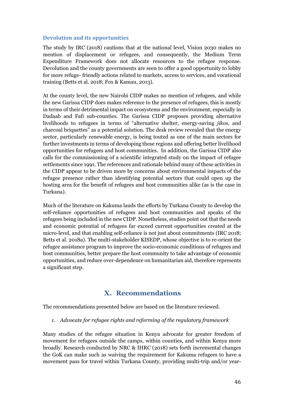#### <span id="page-45-0"></span>**Devolution and its opportunities**

The study by IRC (2018) cautions that at the national level, Vision 2030 makes no mention of displacement or refugees, and consequently, the Medium Term Expenditure Framework does not allocate resources to the refugee response. Devolution and the county governments are seen to offer a good opportunity to lobby for more refuge- friendly actions related to markets, access to services, and vocational training (Betts et al. 2018; Fox & Kamau, 2013).

At the county level, the new Nairobi CIDP makes no mention of refugees, and while the new Garissa CIDP does makes reference to the presence of refugees, this is mostly in terms of their detrimental impact on ecosystems and the environment, especially in Dadaab and Fafi sub-counties. The Garissa CIDP proposes providing alternative livelihoods to refugees in terms of "alternative shelter, energy-saving *jikos*, and charcoal briquettes" as a potential solution. The desk review revealed that the energy sector, particularly renewable energy, is being touted as one of the main sectors for further investments in terms of developing these regions and offering better livelihood opportunities for refugees and host communities. In addition, the Garissa CIDP also calls for the commissioning of a scientific integrated study on the impact of refugee settlements since 1991. The references and rationale behind many of these activities in the CIDP appear to be driven more by concerns about environmental impacts of the refugee presence rather than identifying potential sectors that could open up the hosting area for the benefit of refugees and host communities alike (as is the case in Turkana).

Much of the literature on Kakuma lauds the efforts by Turkana County to develop the self-reliance opportunities of refugees and host communities and speaks of the refugees being included in the new CIDP. Nonetheless, studies point out that the needs and economic potential of refugees far exceed current opportunities created at the micro-level, and that enabling self-reliance is not just about commitments (IRC 2018; Betts et al. 2018a). The multi-stakeholder KISEDP, whose objective is to re-orient the refugee assistance program to improve the socio-economic conditions of refugees and host communities, better prepare the host community to take advantage of economic opportunities, and reduce over-dependence on humanitarian aid, therefore represents a significant step.

## **X. Recommendations**

<span id="page-45-1"></span>The recommendations presented below are based on the literature reviewed.

#### *1. Advocate for refugee rights and reforming of the regulatory framework*

Many studies of the refugee situation in Kenya advocate for greater freedom of movement for refugees outside the camps, within counties, and within Kenya more broadly. Research conducted by NRC & IHRC (2018) sets forth incremental changes the GoK can make such as waiving the requirement for Kakuma refugees to have a movement pass for travel within Turkana County, providing multi-trip and/or year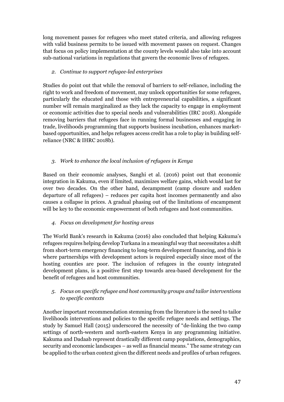long movement passes for refugees who meet stated criteria, and allowing refugees with valid business permits to be issued with movement passes on request. Changes that focus on policy implementation at the county levels would also take into account sub-national variations in regulations that govern the economic lives of refugees.

## *2. Continue to support refugee-led enterprises*

Studies do point out that while the removal of barriers to self-reliance, including the right to work and freedom of movement, may unlock opportunities for some refugees, particularly the educated and those with entrepreneurial capabilities, a significant number will remain marginalized as they lack the capacity to engage in employment or economic activities due to special needs and vulnerabilities (IRC 2018). Alongside removing barriers that refugees face in running formal businesses and engaging in trade, livelihoods programming that supports business incubation, enhances marketbased opportunities, and helps refugees access credit has a role to play in building selfreliance (NRC & IHRC 2018b).

## *3. Work to enhance the local inclusion of refugees in Kenya*

Based on their economic analyses, Sanghi et al. (2016) point out that economic integration in Kakuma, even if limited, maximizes welfare gains, which would last for over two decades. On the other hand, decampment (camp closure and sudden departure of all refugees) – reduces per capita host incomes permanently and also causes a collapse in prices. A gradual phasing out of the limitations of encampment will be key to the economic empowerment of both refugees and host communities.

## *4. Focus on development for hosting areas*

The World Bank's research in Kakuma (2016) also concluded that helping Kakuma's refugees requires helping develop Turkana in a meaningful way that necessitates a shift from short-term emergency financing to long-term development financing, and this is where partnerships with development actors is required especially since most of the hosting counties are poor. The inclusion of refugees in the county integrated development plans, is a positive first step towards area-based development for the benefit of refugees and host communities.

## *5. Focus on specific refugee and host community groups and tailor interventions to specific contexts*

Another important recommendation stemming from the literature is the need to tailor livelihoods interventions and policies to the specific refugee needs and settings. The study by Samuel Hall (2015) underscored the necessity of "de-linking the two camp settings of north-western and north-eastern Kenya in any programming initiative. Kakuma and Dadaab represent drastically different camp populations, demographics, security and economic landscapes – as well as financial means." The same strategy can be applied to the urban context given the different needs and profiles of urban refugees.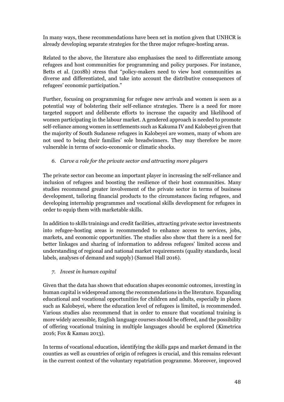In many ways, these recommendations have been set in motion given that UNHCR is already developing separate strategies for the three major refugee-hosting areas.

Related to the above, the literature also emphasises the need to differentiate among refugees and host communities for programming and policy purposes. For instance, Betts et al. (2018b) stress that "policy-makers need to view host communities as diverse and differentiated, and take into account the distributive consequences of refugees' economic participation."

Further, focusing on programming for refugee new arrivals and women is seen as a potential way of bolstering their self-reliance strategies. There is a need for more targeted support and deliberate efforts to increase the capacity and likelihood of women participating in the labour market. A gendered approach is needed to promote self-reliance among women in settlements such as Kakuma IV and Kalobeyei given that the majority of South Sudanese refugees in Kalobeyei are women, many of whom are not used to being their families' sole breadwinners. They may therefore be more vulnerable in terms of socio-economic or climatic shocks.

## *6. Carve a role for the private sector and attracting more players*

The private sector can become an important player in increasing the self-reliance and inclusion of refugees and boosting the resilience of their host communities. Many studies recommend greater involvement of the private sector in terms of business development, tailoring financial products to the circumstances facing refugees, and developing internship programmes and vocational skills development for refugees in order to equip them with marketable skills.

In addition to skills trainings and credit facilities, attracting private sector investments into refugee-hosting areas is recommended to enhance access to services, jobs, markets, and economic opportunities. The studies also show that there is a need for better linkages and sharing of information to address refugees' limited access and understanding of regional and national market requirements (quality standards, local labels, analyses of demand and supply) (Samuel Hall 2016).

## *7. Invest in human capital*

Given that the data has shown that education shapes economic outcomes, investing in human capital is widespread among the recommendations in the literature. Expanding educational and vocational opportunities for children and adults, especially in places such as Kalobeyei, where the education level of refugees is limited, is recommended. Various studies also recommend that in order to ensure that vocational training is more widely accessible, English language courses should be offered, and the possibility of offering vocational training in multiple languages should be explored (Kimetrica 2016; Fox & Kamau 2013).

In terms of vocational education, identifying the skills gaps and market demand in the counties as well as countries of origin of refugees is crucial, and this remains relevant in the current context of the voluntary repatriation programme. Moreover, improved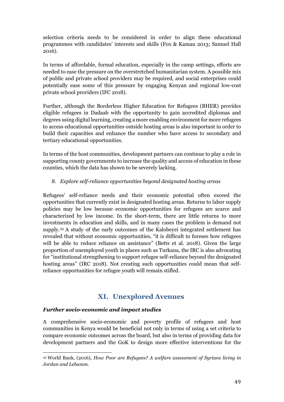selection criteria needs to be considered in order to align these educational programmes with candidates' interests and skills (Fox & Kamau 2013; Samuel Hall 2016).

In terms of affordable, formal education, especially in the camp settings, efforts are needed to ease the pressure on the overstretched humanitarian system. A possible mix of public and private school providers may be required, and social enterprises could potentially ease some of this pressure by engaging Kenyan and regional low-cost private school providers (IFC 2018).

Further, although the Borderless Higher Education for Refugees (BHER) provides eligible refugees in Dadaab with the opportunity to gain accredited diplomas and degrees using digital learning, creating a more enabling environment for more refugees to access educational opportunities outside hosting areas is also important in order to build their capacities and enhance the number who have access to secondary and tertiary educational opportunities.

In terms of the host communities, development partners can continue to play a role in supporting county governments to increase the quality and access of education in these counties, which the data has shown to be severely lacking.

## *8. Explore self-reliance opportunities beyond designated hosting areas*

Refugees' self-reliance needs and their economic potential often exceed the opportunities that currently exist in designated hosting areas. Returns to labor supply policies may be low because economic opportunities for refugees are scarce and characterized by low income. In the short-term, there are little returns to more investments in education and skills, and in many cases the problem is demand not supply. <sup>43</sup> A study of the early outcomes of the Kalobeyei integrated settlement has revealed that without economic opportunities, "it is difficult to foresee how refugees will be able to reduce reliance on assistance" (Betts et al. 2018). Given the large proportion of unemployed youth in places such as Turkana, the IRC is also advocating for "institutional strengthening to support refugee self-reliance beyond the designated hosting areas" (IRC 2018). Not creating such opportunities could mean that selfreliance opportunities for refugee youth will remain stifled.

## **XI. Unexplored Avenues**

## <span id="page-48-0"></span>*Further socio-economic and impact studies*

A comprehensive socio-economic and poverty profile of refugees and host communities in Kenya would be beneficial not only in terms of using a set criteria to compare economic outcomes across the board, but also in terms of providing data for development partners and the GoK to design more effective interventions for the

 $\overline{a}$ <sup>43</sup> World Bank, (2016), *How Poor are Refugees? A welfare assessment of Syrians living in Jordan and Lebanon.*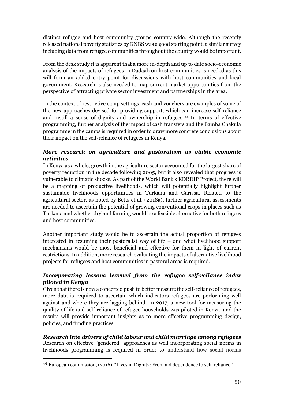distinct refugee and host community groups country-wide. Although the recently released national poverty statistics by KNBS was a good starting point, a similar survey including data from refugee communities throughout the country would be important.

From the desk study it is apparent that a more in-depth and up to date socio-economic analysis of the impacts of refugees in Dadaab on host communities is needed as this will form an added entry point for discussions with host communities and local government. Research is also needed to map current market opportunities from the perspective of attracting private sector investment and partnerships in the area.

In the context of restrictive camp settings, cash and vouchers are examples of some of the new approaches devised for providing support, which can increase self-reliance and instill a sense of dignity and ownership in refugees. <sup>44</sup> In terms of effective programming, further analysis of the impact of cash transfers and the Bamba Chakula programme in the camps is required in order to draw more concrete conclusions about their impact on the self-reliance of refugees in Kenya.

## *More research on agriculture and pastoralism as viable economic activities*

In Kenya as a whole, growth in the agriculture sector accounted for the largest share of poverty reduction in the decade following 2005, but it also revealed that progress is vulnerable to climatic shocks. As part of the World Bank's KDRDIP Project, there will be a mapping of productive livelihoods, which will potentially highlight further sustainable livelihoods opportunities in Turkana and Garissa. Related to the agricultural sector, as noted by Betts et al. (2018a), further agricultural assessments are needed to ascertain the potential of growing conventional crops in places such as Turkana and whether dryland farming would be a feasible alternative for both refugees and host communities.

Another important study would be to ascertain the actual proportion of refugees interested in resuming their pastoralist way of life – and what livelihood support mechanisms would be most beneficial and effective for them in light of current restrictions. In addition, more research evaluating the impacts of alternative livelihood projects for refugees and host communities in pastoral areas is required.

## *Incorporating lessons learned from the refugee self-reliance index piloted in Kenya*

Given that there is now a concerted push to better measure the self-reliance of refugees, more data is required to ascertain which indicators refugees are performing well against and where they are lagging behind. In 2017, a new tool for measuring the quality of life and self-reliance of refugee households was piloted in Kenya, and the results will provide important insights as to more effective programming design, policies, and funding practices.

*Research into drivers of child labour and child marriage among refugees* Research on effective "gendered" approaches as well incorporating social norms in livelihoods programming is required in order to understand how social norms

<sup>44</sup> European commission, (2016), "Lives in Dignity: From aid dependence to self-reliance."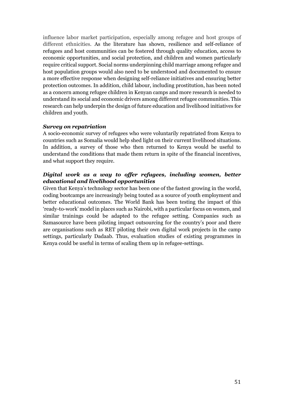influence labor market participation, especially among refugee and host groups of different ethnicities. As the literature has shown, resilience and self-reliance of refugees and host communities can be fostered through quality education, access to economic opportunities, and social protection, and children and women particularly require critical support. Social norms underpinning child marriage among refugee and host population groups would also need to be understood and documented to ensure a more effective response when designing self-reliance initiatives and ensuring better protection outcomes. In addition, child labour, including prostitution, has been noted as a concern among refugee children in Kenyan camps and more research is needed to understand its social and economic drivers among different refugee communities. This research can help underpin the design of future education and livelihood initiatives for children and youth.

#### *Survey on repatriation*

A socio-economic survey of refugees who were voluntarily repatriated from Kenya to countries such as Somalia would help shed light on their current livelihood situations. In addition, a survey of those who then returned to Kenya would be useful to understand the conditions that made them return in spite of the financial incentives, and what support they require.

## *Digital work as a way to offer refugees, including women, better educational and livelihood opportunities*

Given that Kenya's technology sector has been one of the fastest growing in the world, coding bootcamps are increasingly being touted as a source of youth employment and better educational outcomes. The World Bank has been testing the impact of this 'ready-to-work' model in places such as Nairobi, with a particular focus on women, and similar trainings could be adapted to the refugee setting. Companies such as Samasource have been piloting impact outsourcing for the country's poor and there are organisations such as RET piloting their own digital work projects in the camp settings, particularly Dadaab. Thus, evaluation studies of existing programmes in Kenya could be useful in terms of scaling them up in refugee-settings.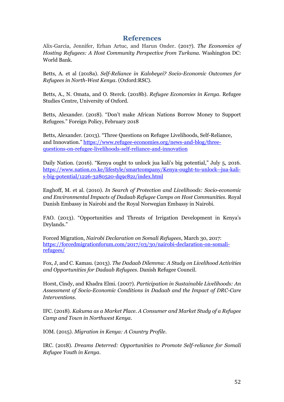## **References**

<span id="page-51-0"></span>Alix-Garcia, Jennifer, Erhan Artuc, and Harun Onder. (2017). *The Economics of Hosting Refugees: A Host Community Perspective from Turkana.* Washington DC: World Bank.

Betts, A. et al (2018a). *Self-Reliance in Kalobeyei? Socio-Economic Outcomes for Refugees in North-West Kenya.* (Oxford:RSC).

Betts, A., N. Omata, and O. Sterck. (2018b). *Refugee Economies in Kenya*. Refugee Studies Centre, University of Oxford.

Betts, Alexander. (2018). "Don't make African Nations Borrow Money to Support Refugees." Foreign Policy, February 2018

Betts, Alexander. (2013). "Three Questions on Refugee Livelihoods, Self-Reliance, and Innovation." [https://www.refugee-economies.org/news-and-blog/three](https://www.refugee-economies.org/news-and-blog/three-questions-on-refugee-livelihoods-self-reliance-and-innovation)[questions-on-refugee-livelihoods-self-reliance-and-innovation](https://www.refugee-economies.org/news-and-blog/three-questions-on-refugee-livelihoods-self-reliance-and-innovation)

Daily Nation. (2016). "Kenya ought to unlock jua kali's big potential," July 5, 2016. [https://www.nation.co.ke/lifestyle/smartcompany/Kenya-ought-to-unlock--jua-kali](https://www.nation.co.ke/lifestyle/smartcompany/Kenya-ought-to-unlock--jua-kali-s-big-potential/1226-3280520-dq9c82z/index.html)[s-big-potential/1226-3280520-dq9c82z/index.html](https://www.nation.co.ke/lifestyle/smartcompany/Kenya-ought-to-unlock--jua-kali-s-big-potential/1226-3280520-dq9c82z/index.html)

Enghoff, M. et al. (2010). *In Search of Protection and Livelihoods: Socio-economic and Environmental Impacts of Dadaab Refugee Camps on Host Communities.* Royal Danish Embassy in Nairobi and the Royal Norwegian Embassy in Nairobi.

FAO. (2013). "Opportunities and Threats of Irrigation Development in Kenya's Drylands."

Forced Migration, *Nairobi Declaration on Somali Refugees*, March 30, 2017: [https://forcedmigrationforum.com/2017/03/30/nairobi-declaration-on-somali](https://forcedmigrationforum.com/2017/03/30/nairobi-declaration-on-somali-refugees/)[refugees/](https://forcedmigrationforum.com/2017/03/30/nairobi-declaration-on-somali-refugees/)

Fox, J, and C. Kamau. (2013). *The Dadaab Dilemma: A Study on Livelihood Activities and Opportunities for Dadaab Refugees*. Danish Refugee Council.

Horst, Cindy, and Khadra Elmi. (2007). *Participation in Sustainable Livelihoods: An Assessment of Socio-Economic Conditions in Dadaab and the Impact of DRC-Care Interventions.* 

IFC. (2018). *Kakuma as a Market Place. A Consumer and Market Study of a Refugee Camp and Town in Northwest Kenya*.

IOM. (2015). *Migration in Kenya: A Country Profile*.

IRC. (2018). *Dreams Deterred: Opportunities to Promote Self-reliance for Somali Refugee Youth in Kenya*.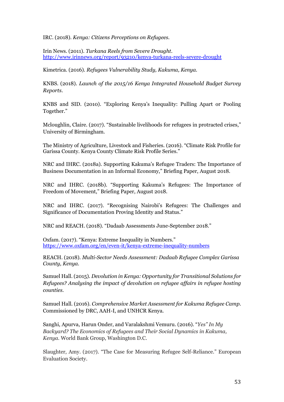IRC. (2018). *Kenya: Citizens Perceptions on Refugees.*

Irin News. (2011). *Turkana Reels from Severe Drought*. <http://www.irinnews.org/report/93210/kenya-turkana-reels-severe-drought>

Kimetrica. (2016). *Refugees Vulnerability Study, Kakuma, Kenya.*

KNBS. (2018). *Launch of the 2015/16 Kenya Integrated Household Budget Survey Reports*.

KNBS and SID. (2010). "Exploring Kenya's Inequality: Pulling Apart or Pooling Together."

Mcloughlin, Claire. (2017). "Sustainable livelihoods for refugees in protracted crises," University of Birmingham.

The Ministry of Agriculture, Livestock and Fisheries. (2016). "Climate Risk Profile for Garissa County. Kenya County Climate Risk Profile Series."

NRC and IHRC. (2018a). Supporting Kakuma's Refugee Traders: The Importance of Business Documentation in an Informal Economy," Briefing Paper, August 2018.

NRC and IHRC. (2018b). "Supporting Kakuma's Refugees: The Importance of Freedom of Movement," Briefing Paper, August 2018.

NRC and IHRC. (2017). "Recognising Nairobi's Refugees: The Challenges and Significance of Documentation Proving Identity and Status."

NRC and REACH. (2018). "Dadaab Assessments June-September 2018."

Oxfam. (2017). "Kenya: Extreme Inequality in Numbers." <https://www.oxfam.org/en/even-it/kenya-extreme-inequality-numbers>

REACH. (2018). *Multi-Sector Needs Assessment: Dadaab Refugee Complex Garissa County, Kenya.*

Samuel Hall. (2015). *Devolution in Kenya: Opportunity for Transitional Solutions for Refugees? Analysing the impact of devolution on refugee affairs in refugee hosting counties.*

Samuel Hall. (2016). *Comprehensive Market Assessment for Kakuma Refugee Camp.* Commissioned by DRC, AAH-I, and UNHCR Kenya.

Sanghi, Apurva, Harun Onder, and Varalakshmi Vemuru. (2016). "*Yes" In My Backyard? The Economics of Refugees and Their Social Dynamics in Kakuma, Kenya.* World Bank Group, Washington D.C.

Slaughter, Amy. (2017). "The Case for Measuring Refugee Self-Reliance." European Evaluation Society.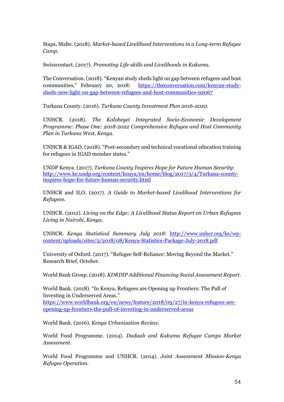Staps, Malte. (2018). *Market-based Livelihood Interventions in a Long-term Refugee Camp.*

Swisscontact. (2017). *Promoting Life-skills and Livelihoods in Kakuma.*

The Conversation. (2018). "Kenyan study sheds light on gap between refugees and host communities," February 20, 2018: [https://theconversation.com/kenyan-study](https://theconversation.com/kenyan-study-sheds-new-light-on-gap-between-refugees-and-host-communities-92067)[sheds-new-light-on-gap-between-refugees-and-host-communities-92067](https://theconversation.com/kenyan-study-sheds-new-light-on-gap-between-refugees-and-host-communities-92067)

Turkana County. (2016). *Turkana County Investment Plan 2016-2020*.

UNHCR. (2018). *The Kalobeyei Integrated Socio-Economic Development Programme: Phase One: 2018-2022 Comprehensive Refugee and Host Community Plan in Turkana West, Kenya*.

UNHCR & IGAD. (2018). "Post-secondary and technical vocational education training for refugees in IGAD member states."

UNDP Kenya. (2017). *Turkana County Inspires Hope for Future Human Security*: [http://www.ke.undp.org/content/kenya/en/home/blog/2017/3/4/Turkana-county](http://www.ke.undp.org/content/kenya/en/home/blog/2017/3/4/Turkana-county-inspires-hope-for-future-human-security.html)[inspires-hope-for-future-human-security.html](http://www.ke.undp.org/content/kenya/en/home/blog/2017/3/4/Turkana-county-inspires-hope-for-future-human-security.html)

UNHCR and ILO. (2017). *A Guide to Market-based Livelihood Interventions for Refugees.*

UNHCR. (2012). *Living on the Edge: A Livelihood Status Report on Urban Refugees Living in Nairobi, Kenya.*

UNHCR. *Kenya Statistical Summary July 2018*: [http://www.unhcr.org/ke/wp](http://www.unhcr.org/ke/wp-content/uploads/sites/2/2018/08/Kenya-Statistics-Package-July-2018.pdf)[content/uploads/sites/2/2018/08/Kenya-Statistics-Package-July-2018.pdf](http://www.unhcr.org/ke/wp-content/uploads/sites/2/2018/08/Kenya-Statistics-Package-July-2018.pdf)

University of Oxford. (2017). "Refugee Self-Reliance: Moving Beyond the Market." Research Brief, October.

World Bank Group. (2018). *KDRDIP Additional Financing Social Assessment Report*.

World Bank. (2018). "In Kenya, Refugees are Opening up Frontiers: The Pull of Investing in Underserved Areas."

[https://www.worldbank.org/en/news/feature/2018/09/27/in-kenya-refugees-are](https://www.worldbank.org/en/news/feature/2018/09/27/in-kenya-refugees-are-opening-up-frontiers-the-pull-of-investing-in-underserved-areas)[opening-up-frontiers-the-pull-of-investing-in-underserved-areas](https://www.worldbank.org/en/news/feature/2018/09/27/in-kenya-refugees-are-opening-up-frontiers-the-pull-of-investing-in-underserved-areas)

World Bank. (2016). *Kenya Urbanization Review.*

World Food Programme. (2014). *Dadaab and Kakuma Refugee Camps Market Assessment.*

World Food Programme and UNHCR. (2014). *Joint Assessment Mission-Kenya Refugee Operation*.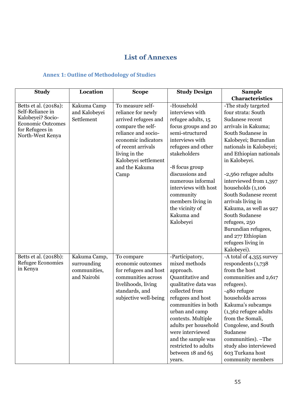# **List of Annexes**

## <span id="page-54-1"></span><span id="page-54-0"></span>**Annex 1: Outline of Methodology of Studies**

| <b>Study</b>                                                                                                                      | Location                                                   | <b>Scope</b>                                                                                                                                                                                                               | <b>Study Design</b>                                                                                                                                                                                                                                                                                                      | <b>Sample</b>                                                                                                                                                                                                                                                                                                                                                                                                                                                                       |
|-----------------------------------------------------------------------------------------------------------------------------------|------------------------------------------------------------|----------------------------------------------------------------------------------------------------------------------------------------------------------------------------------------------------------------------------|--------------------------------------------------------------------------------------------------------------------------------------------------------------------------------------------------------------------------------------------------------------------------------------------------------------------------|-------------------------------------------------------------------------------------------------------------------------------------------------------------------------------------------------------------------------------------------------------------------------------------------------------------------------------------------------------------------------------------------------------------------------------------------------------------------------------------|
|                                                                                                                                   |                                                            |                                                                                                                                                                                                                            |                                                                                                                                                                                                                                                                                                                          | <b>Characteristics</b>                                                                                                                                                                                                                                                                                                                                                                                                                                                              |
| Betts et al. (2018a):<br>Self-Reliance in<br>Kalobeyei? Socio-<br><b>Economic Outcomes</b><br>for Refugees in<br>North-West Kenya | Kakuma Camp<br>and Kalobeyei<br>Settlement                 | To measure self-<br>reliance for newly<br>arrived refugees and<br>compare the self-<br>reliance and socio-<br>economic indicators<br>of recent arrivals<br>living in the<br>Kalobeyei settlement<br>and the Kakuma<br>Camp | -Household<br>interviews with<br>refugee adults, 15<br>focus groups and 20<br>semi-structured<br>interviews with<br>refugees and other<br>stakeholders<br>-8 focus group<br>discussions and<br>numerous informal<br>interviews with host<br>community<br>members living in<br>the vicinity of<br>Kakuma and<br>Kalobeyei | -The study targeted<br>four strata: South<br>Sudanese recent<br>arrivals in Kakuma;<br>South Sudanese in<br>Kalobeyei; Burundian<br>nationals in Kalobeyei;<br>and Ethiopian nationals<br>in Kalobeyei.<br>-2,560 refugee adults<br>interviewed from 1,397<br>households (1,106<br>South Sudanese recent<br>arrivals living in<br>Kakuma, as well as 927<br><b>South Sudanese</b><br>refugees, 250<br>Burundian refugees,<br>and 277 Ethiopian<br>refugees living in<br>Kalobeyei). |
| Betts et al. (2018b):<br><b>Refugee Economies</b><br>in Kenya                                                                     | Kakuma Camp,<br>surrounding<br>communities,<br>and Nairobi | To compare<br>economic outcomes<br>for refugees and host<br>communities across<br>livelihoods, living<br>standards, and<br>subjective well-being                                                                           | -Participatory,<br>mixed methods<br>approach.<br>Quantitative and<br>qualitative data was<br>collected from<br>refugees and host<br>communities in both<br>urban and camp<br>contexts. Multiple<br>adults per household<br>were interviewed<br>and the sample was<br>restricted to adults<br>between 18 and 65<br>years. | -A total of 4,355 survey<br>respondents $(1,738)$<br>from the host<br>communities and 2,617<br>refugees).<br>-480 refugee<br>households across<br>Kakuma's subcamps<br>$(1,362)$ refugee adults<br>from the Somali,<br>Congolese, and South<br>Sudanese<br>communities). -The<br>study also interviewed<br>603 Turkana host<br>community members                                                                                                                                    |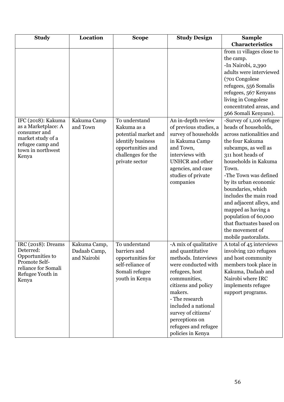| <b>Study</b>                                                                                                             | Location                                    | <b>Scope</b>                                                                                               | <b>Study Design</b>                                                                                                                                                                                                                                                                        | <b>Sample</b>                                                                                                                                                                                                                                                                                                                                                               |
|--------------------------------------------------------------------------------------------------------------------------|---------------------------------------------|------------------------------------------------------------------------------------------------------------|--------------------------------------------------------------------------------------------------------------------------------------------------------------------------------------------------------------------------------------------------------------------------------------------|-----------------------------------------------------------------------------------------------------------------------------------------------------------------------------------------------------------------------------------------------------------------------------------------------------------------------------------------------------------------------------|
|                                                                                                                          |                                             |                                                                                                            |                                                                                                                                                                                                                                                                                            | Characteristics                                                                                                                                                                                                                                                                                                                                                             |
| IFC (2018): Kakuma<br>as a Marketplace: A                                                                                | Kakuma Camp<br>and Town                     | To understand<br>Kakuma as a                                                                               | An in-depth review<br>of previous studies, a                                                                                                                                                                                                                                               | from 11 villages close to<br>the camp.<br>-In Nairobi, 2,390<br>adults were interviewed<br>(701 Congolese<br>refugees, 556 Somalis<br>refugees, 567 Kenyans<br>living in Congolese<br>concentrated areas, and<br>566 Somali Kenyans).<br>-Survey of 1,106 refugee<br>heads of households,                                                                                   |
| consumer and<br>market study of a<br>refugee camp and<br>town in northwest<br>Kenya                                      |                                             | potential market and<br>identify business<br>opportunities and<br>challenges for the<br>private sector     | survey of households<br>in Kakuma Camp<br>and Town,<br>interviews with<br><b>UNHCR</b> and other<br>agencies, and case<br>studies of private<br>companies                                                                                                                                  | across nationalities and<br>the four Kakuma<br>subcamps, as well as<br>311 host heads of<br>households in Kakuma<br>Town.<br>-The Town was defined<br>by its urban economic<br>boundaries, which<br>includes the main road<br>and adjacent alleys, and<br>mapped as having a<br>population of 60,000<br>that fluctuates based on<br>the movement of<br>mobile pastoralists. |
| IRC (2018): Dreams<br>Deterred:<br>Opportunities to<br>Promote Self-<br>reliance for Somali<br>Refugee Youth in<br>Kenya | Kakuma Camp,<br>Dadaab Camp,<br>and Nairobi | To understand<br>barriers and<br>opportunities for<br>self-reliance of<br>Somali refugee<br>youth in Kenya | -A mix of qualitative<br>and quantitative<br>methods. Interviews<br>were conducted with<br>refugees, host<br>communities,<br>citizens and policy<br>makers.<br>- The research<br>included a national<br>survey of citizens'<br>perceptions on<br>refugees and refugee<br>policies in Kenya | A total of 45 interviews<br>involving 120 refugees<br>and host community<br>members took place in<br>Kakuma, Dadaab and<br>Nairobi where IRC<br>implements refugee<br>support programs.                                                                                                                                                                                     |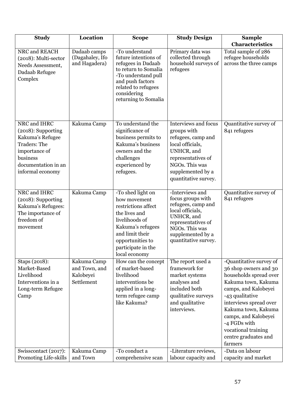| <b>Study</b>                                                                                                                                          | Location                                                | <b>Scope</b>                                                                                                                                                                                   | <b>Study Design</b>                                                                                                                                                                     | <b>Sample</b>                                                                                                                                                                                                                                                                                   |
|-------------------------------------------------------------------------------------------------------------------------------------------------------|---------------------------------------------------------|------------------------------------------------------------------------------------------------------------------------------------------------------------------------------------------------|-----------------------------------------------------------------------------------------------------------------------------------------------------------------------------------------|-------------------------------------------------------------------------------------------------------------------------------------------------------------------------------------------------------------------------------------------------------------------------------------------------|
|                                                                                                                                                       |                                                         |                                                                                                                                                                                                |                                                                                                                                                                                         | <b>Characteristics</b>                                                                                                                                                                                                                                                                          |
| NRC and REACH<br>$(2018)$ : Multi-sector<br>Needs Assessment,<br>Dadaab Refugee<br>Complex                                                            | Dadaab camps<br>(Dagahaley, Ifo<br>and Hagadera)        | -To understand<br>future intentions of<br>refugees in Dadaab<br>to return to Somalia<br>-To understand pull<br>and push factors<br>related to refugees<br>considering<br>returning to Somalia  | Primary data was<br>collected through<br>household surveys of<br>refugees                                                                                                               | Total sample of 286<br>refugee households<br>across the three camps                                                                                                                                                                                                                             |
| NRC and IHRC<br>(2018): Supporting<br>Kakuma's Refugee<br><b>Traders: The</b><br>importance of<br>business<br>documentation in an<br>informal economy | Kakuma Camp                                             | To understand the<br>significance of<br>business permits to<br>Kakuma's business<br>owners and the<br>challenges<br>experienced by<br>refugees.                                                | <b>Interviews and focus</b><br>groups with<br>refugees, camp and<br>local officials,<br>UNHCR, and<br>representatives of<br>NGOs. This was<br>supplemented by a<br>quantitative survey. | Quantitative survey of<br>841 refugees                                                                                                                                                                                                                                                          |
| NRC and IHRC<br>(2018): Supporting<br>Kakuma's Refugees:<br>The importance of<br>freedom of<br>movement                                               | Kakuma Camp                                             | -To shed light on<br>how movement<br>restrictions affect<br>the lives and<br>livelihoods of<br>Kakuma's refugees<br>and limit their<br>opportunities to<br>participate in the<br>local economy | -Interviews and<br>focus groups with<br>refugees, camp and<br>local officials,<br>UNHCR, and<br>representatives of<br>NGOs. This was<br>supplemented by a<br>quantitative survey.       | Quantitative survey of<br>841 refugees                                                                                                                                                                                                                                                          |
| Staps (2018):<br>Market-Based<br>Livelihood<br>Interventions in a<br>Long-term Refugee<br>Camp                                                        | Kakuma Camp<br>and Town, and<br>Kalobeyei<br>Settlement | How can the concept<br>of market-based<br>livelihood<br>interventions be<br>applied in a long-<br>term refugee camp<br>like Kakuma?                                                            | The report used a<br>framework for<br>market systems<br>analyses and<br>included both<br>qualitative surveys<br>and qualitative<br>interviews.                                          | -Quantitative survey of<br>36 shop owners and 30<br>households spread over<br>Kakuma town, Kakuma<br>camps, and Kalobeyei<br>-43 qualitative<br>interviews spread over<br>Kakuma town, Kakuma<br>camps, and Kalobeyei<br>-4 FGDs with<br>vocational training<br>centre graduates and<br>farmers |
| Swisscontact (2017):<br><b>Promoting Life-skills</b>                                                                                                  | Kakuma Camp<br>and Town                                 | -To conduct a<br>comprehensive scan                                                                                                                                                            | -Literature reviews,<br>labour capacity and                                                                                                                                             | -Data on labour<br>capacity and market                                                                                                                                                                                                                                                          |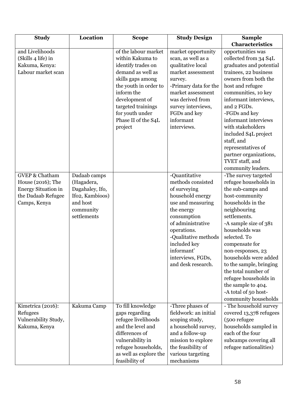| <b>Study</b>                                                                                                       | Location                                                                                                 | <b>Scope</b>                                                                                                                                                                                                                                 | <b>Study Design</b>                                                                                                                                                                                                                                           | <b>Sample</b>                                                                                                                                                                                                                                                                                                                                                                                                         |
|--------------------------------------------------------------------------------------------------------------------|----------------------------------------------------------------------------------------------------------|----------------------------------------------------------------------------------------------------------------------------------------------------------------------------------------------------------------------------------------------|---------------------------------------------------------------------------------------------------------------------------------------------------------------------------------------------------------------------------------------------------------------|-----------------------------------------------------------------------------------------------------------------------------------------------------------------------------------------------------------------------------------------------------------------------------------------------------------------------------------------------------------------------------------------------------------------------|
|                                                                                                                    |                                                                                                          |                                                                                                                                                                                                                                              |                                                                                                                                                                                                                                                               | Characteristics                                                                                                                                                                                                                                                                                                                                                                                                       |
| and Livelihoods<br>(Skills 4 life) in<br>Kakuma, Kenya:<br>Labour market scan                                      |                                                                                                          | of the labour market<br>within Kakuma to<br>identify trades on<br>demand as well as<br>skills gaps among<br>the youth in order to<br>inform the<br>development of<br>targeted trainings<br>for youth under<br>Phase II of the S4L<br>project | market opportunity<br>scan, as well as a<br>qualitative local<br>market assessment<br>survey.<br>-Primary data for the<br>market assessment<br>was derived from<br>survey interviews,<br>FGDs and key<br>informant<br>interviews.                             | opportunities was<br>collected from 34 S4L<br>graduates and potential<br>trainees, 22 business<br>owners from both the<br>host and refugee<br>communities, 10 key<br>informant interviews,<br>and 2 FGDs.<br>-FGDs and key<br>informant interviews<br>with stakeholders<br>included S4L project<br>staff, and<br>representatives of<br>partner organizations,<br>TVET staff, and<br>community leaders.                |
| <b>GVEP &amp; Chatham</b><br>House (2016); The<br><b>Energy Situation in</b><br>the Dadaab Refugee<br>Camps, Kenya | Dadaab camps<br>(Hagadera,<br>Dagahaley, Ifo,<br>Ifo2, Kambioos)<br>and host<br>community<br>settlements |                                                                                                                                                                                                                                              | -Quantitative<br>methods consisted<br>of surveying<br>household energy<br>use and measuring<br>the energy<br>consumption<br>of administrative<br>operations.<br>-Qualitative methods<br>included key<br>informant'<br>interviews, FGDs,<br>and desk research. | -The survey targeted<br>refugee households in<br>the sub-camps and<br>host-community<br>households in the<br>neighbouring<br>settlements.<br>-A sample size of 381<br>households was<br>selected. To<br>compensate for<br>non-responses, 23<br>households were added<br>to the sample, bringing<br>the total number of<br>refugee households in<br>the sample to 404.<br>-A total of 50 host-<br>community households |
| Kimetrica (2016):<br>Refugees<br>Vulnerability Study,<br>Kakuma, Kenya                                             | Kakuma Camp                                                                                              | To fill knowledge<br>gaps regarding<br>refugee livelihoods<br>and the level and<br>differences of<br>vulnerability in<br>refugee households,<br>as well as explore the<br>feasibility of                                                     | -Three phases of<br>fieldwork: an initial<br>scoping study,<br>a household survey,<br>and a follow-up<br>mission to explore<br>the feasibility of<br>various targeting<br>mechanisms                                                                          | - The household survey<br>covered 13,378 refugees<br>(500 refugee<br>households sampled in<br>each of the four<br>subcamps covering all<br>refugee nationalities)                                                                                                                                                                                                                                                     |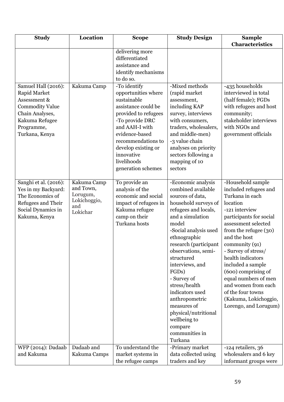| <b>Study</b>                                                                                                                                       | Location                                                                | <b>Scope</b>                                                                                                                                                                                                                                             | <b>Study Design</b>                                                                                                                                                                                                                                                                                                                                                                                                                              | <b>Sample</b>                                                                                                                                                                                                                                                                                                                                                                                                              |
|----------------------------------------------------------------------------------------------------------------------------------------------------|-------------------------------------------------------------------------|----------------------------------------------------------------------------------------------------------------------------------------------------------------------------------------------------------------------------------------------------------|--------------------------------------------------------------------------------------------------------------------------------------------------------------------------------------------------------------------------------------------------------------------------------------------------------------------------------------------------------------------------------------------------------------------------------------------------|----------------------------------------------------------------------------------------------------------------------------------------------------------------------------------------------------------------------------------------------------------------------------------------------------------------------------------------------------------------------------------------------------------------------------|
|                                                                                                                                                    |                                                                         |                                                                                                                                                                                                                                                          |                                                                                                                                                                                                                                                                                                                                                                                                                                                  | Characteristics                                                                                                                                                                                                                                                                                                                                                                                                            |
|                                                                                                                                                    |                                                                         | delivering more<br>differentiated<br>assistance and<br>identify mechanisms<br>to do so.                                                                                                                                                                  |                                                                                                                                                                                                                                                                                                                                                                                                                                                  |                                                                                                                                                                                                                                                                                                                                                                                                                            |
| Samuel Hall (2016):<br>Rapid Market<br>Assessment &<br><b>Commodity Value</b><br>Chain Analyses,<br>Kakuma Refugee<br>Programme,<br>Turkana, Kenya | Kakuma Camp                                                             | -To identify<br>opportunities where<br>sustainable<br>assistance could be<br>provided to refugees<br>-To provide DRC<br>and AAH-I with<br>evidence-based<br>recommendations to<br>develop existing or<br>innovative<br>livelihoods<br>generation schemes | -Mixed methods<br>(rapid market<br>assessment,<br>including KAP<br>survey, interviews<br>with consumers,<br>traders, wholesalers,<br>and middle-men)<br>-3 value chain<br>analyses on priority<br>sectors following a<br>mapping of 10<br>sectors                                                                                                                                                                                                | -435 households<br>interviewed in total<br>(half female); FGDs<br>with refugees and host<br>community;<br>stakeholder interviews<br>with NGOs and<br>government officials                                                                                                                                                                                                                                                  |
| Sanghi et al. (2016):<br>Yes in my Backyard:<br>The Economics of<br>Refugees and Their<br>Social Dynamics in<br>Kakuma, Kenya                      | Kakuma Camp<br>and Town,<br>Lorugum,<br>Lokichoggio,<br>and<br>Lokichar | To provide an<br>analysis of the<br>economic and social<br>impact of refugees in<br>Kakuma refugee<br>camp on their<br>Turkana hosts                                                                                                                     | -Economic analysis<br>combined available<br>sources of data,<br>household surveys of<br>refugees and locals,<br>and a simulation<br>model<br>-Social analysis used<br>ethnographic<br>research (participant<br>observations, semi-<br>structured<br>interviews, and<br>FGDs)<br>- Survey of<br>stress/health<br>indicators used<br>anthropometric<br>measures of<br>physical/nutritional<br>wellbeing to<br>compare<br>communities in<br>Turkana | -Household sample<br>included refugees and<br>Turkana in each<br>location<br>-121 interview<br>participants for social<br>assessment selected<br>from the refugee $(30)$<br>and the host<br>community $(91)$<br>- Survey of stress/<br>health indicators<br>included a sample<br>(600) comprising of<br>equal numbers of men<br>and women from each<br>of the four towns<br>(Kakuma, Lokichoggio,<br>Lorengo, and Lorugum) |
| WFP (2014): Dadaab<br>and Kakuma                                                                                                                   | Dadaab and<br>Kakuma Camps                                              | To understand the<br>market systems in<br>the refugee camps                                                                                                                                                                                              | -Primary market<br>data collected using<br>traders and key                                                                                                                                                                                                                                                                                                                                                                                       | -124 retailers, 36<br>wholesalers and 6 key<br>informant groups were                                                                                                                                                                                                                                                                                                                                                       |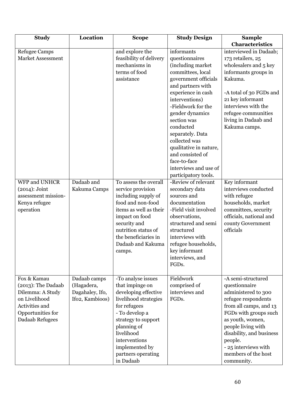| <b>Study</b>                                                                                                                        | Location                                                         | <b>Scope</b>                                                                                                                                                                                                                                       | <b>Study Design</b>                                                                                                                                                                                                                                                                                                                                          | <b>Sample</b>                                                                                                                                                                                                                                                                      |
|-------------------------------------------------------------------------------------------------------------------------------------|------------------------------------------------------------------|----------------------------------------------------------------------------------------------------------------------------------------------------------------------------------------------------------------------------------------------------|--------------------------------------------------------------------------------------------------------------------------------------------------------------------------------------------------------------------------------------------------------------------------------------------------------------------------------------------------------------|------------------------------------------------------------------------------------------------------------------------------------------------------------------------------------------------------------------------------------------------------------------------------------|
|                                                                                                                                     |                                                                  |                                                                                                                                                                                                                                                    |                                                                                                                                                                                                                                                                                                                                                              | Characteristics                                                                                                                                                                                                                                                                    |
| <b>Refugee Camps</b><br><b>Market Assessment</b>                                                                                    |                                                                  | and explore the<br>feasibility of delivery<br>mechanisms in<br>terms of food<br>assistance                                                                                                                                                         | informants<br>questionnaires<br>(including market<br>committees, local<br>government officials<br>and partners with<br>experience in cash<br>interventions)<br>-Fieldwork for the<br>gender dynamics<br>section was<br>conducted<br>separately. Data<br>collected was<br>qualitative in nature,<br>and consisted of<br>face-to-face<br>interviews and use of | interviewed in Dadaab;<br>173 retailers, 25<br>wholesalers and 5 key<br>informants groups in<br>Kakuma.<br>-A total of 30 FGDs and<br>21 key informant<br>interviews with the<br>refugee communities<br>living in Dadaab and<br>Kakuma camps.                                      |
|                                                                                                                                     |                                                                  |                                                                                                                                                                                                                                                    | participatory tools.                                                                                                                                                                                                                                                                                                                                         |                                                                                                                                                                                                                                                                                    |
| <b>WFP and UNHCR</b><br>$(2014)$ : Joint<br>assessment mission-<br>Kenya refugee<br>operation                                       | Dadaab and<br>Kakuma Camps                                       | To assess the overall<br>service provision<br>including supply of<br>food and non-food<br>items as well as their<br>impact on food<br>security and<br>nutrition status of<br>the beneficiaries in<br>Dadaab and Kakuma<br>camps.                   | -Review of relevant<br>secondary data<br>sources and<br>documentation<br>-Field visit involved<br>observations,<br>structured and semi<br>structured<br>interviews with<br>refugee households,<br>key informant<br>interviews, and<br>FGDs.                                                                                                                  | Key informant<br>interviews conducted<br>with refugee<br>households, market<br>committees, security<br>officials, national and<br>county Government<br>officials                                                                                                                   |
| Fox & Kamau<br>$(2013)$ : The Dadaab<br>Dilemma: A Study<br>on Livelihood<br>Activities and<br>Opportunities for<br>Dadaab Refugees | Dadaab camps<br>(Hagadera,<br>Dagahaley, Ifo,<br>Ifo2, Kambioos) | -To analyse issues<br>that impinge on<br>developing effective<br>livelihood strategies<br>for refugees<br>- To develop a<br>strategy to support<br>planning of<br>livelihood<br>interventions<br>implemented by<br>partners operating<br>in Dadaab | Fieldwork<br>comprised of<br>interviews and<br>FGDs.                                                                                                                                                                                                                                                                                                         | -A semi-structured<br>questionnaire<br>administered to 300<br>refugee respondents<br>from all camps, and 13<br>FGDs with groups such<br>as youth, women,<br>people living with<br>disability, and business<br>people.<br>- 25 interviews with<br>members of the host<br>community. |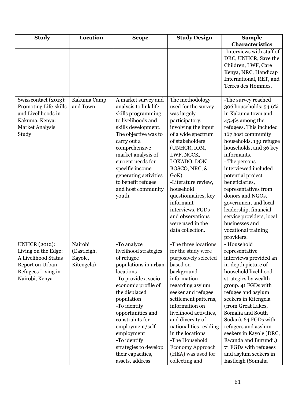| <b>Study</b>                                                                                                                  | Location                                        | <b>Scope</b>                                                                                                                                                                                                                                                                                                                                     | <b>Study Design</b>                                                                                                                                                                                                                                                                                                                                                       | <b>Sample</b>                                                                                                                                                                                                                                                                                                                                                                                                                                                              |
|-------------------------------------------------------------------------------------------------------------------------------|-------------------------------------------------|--------------------------------------------------------------------------------------------------------------------------------------------------------------------------------------------------------------------------------------------------------------------------------------------------------------------------------------------------|---------------------------------------------------------------------------------------------------------------------------------------------------------------------------------------------------------------------------------------------------------------------------------------------------------------------------------------------------------------------------|----------------------------------------------------------------------------------------------------------------------------------------------------------------------------------------------------------------------------------------------------------------------------------------------------------------------------------------------------------------------------------------------------------------------------------------------------------------------------|
|                                                                                                                               |                                                 |                                                                                                                                                                                                                                                                                                                                                  |                                                                                                                                                                                                                                                                                                                                                                           | Characteristics                                                                                                                                                                                                                                                                                                                                                                                                                                                            |
|                                                                                                                               |                                                 |                                                                                                                                                                                                                                                                                                                                                  |                                                                                                                                                                                                                                                                                                                                                                           | -Interviews with staff of<br>DRC, UNHCR, Save the<br>Children, LWF, Care<br>Kenya, NRC, Handicap<br>International, RET, and<br>Terres des Hommes.                                                                                                                                                                                                                                                                                                                          |
| Swisscontact (2013):<br>Promoting Life-skills<br>and Livelihoods in<br>Kakuma, Kenya:<br><b>Market Analysis</b><br>Study      | Kakuma Camp<br>and Town                         | A market survey and<br>analysis to link life<br>skills programming<br>to livelihoods and<br>skills development.<br>The objective was to<br>carry out a<br>comprehensive<br>market analysis of<br>current needs for<br>specific income<br>generating activities<br>to benefit refugee<br>and host community<br>youth.                             | The methodology<br>used for the survey<br>was largely<br>participatory,<br>involving the input<br>of a wide spectrum<br>of stakeholders<br>(UNHCR, IOM,<br>LWF, NCCK,<br>LOKADO, DON<br>BOSCO, NRC, &<br>GoK)<br>-Literature review,<br>household<br>questionnaires, key<br>informant<br>interviews, FGDs<br>and observations<br>were used in the<br>data collection.     | -The survey reached<br>306 households: 54.6%<br>in Kakuma town and<br>45.4% among the<br>refugees. This included<br>167 host community<br>households, 139 refugee<br>households, and 36 key<br>informants.<br>- The persons<br>interviewed included<br>potential project<br>beneficiaries,<br>representatives from<br>donors and NGOs,<br>government and local<br>leadership, financial<br>service providers, local<br>businesses and<br>vocational training<br>providers. |
| <b>UNHCR (2012):</b><br>Living on the Edge:<br>A Livelihood Status<br>Report on Urban<br>Refugees Living in<br>Nairobi, Kenya | Nairobi<br>(Eastleigh,<br>Kayole,<br>Kitengela) | -To analyze<br>livelihood strategies<br>of refugee<br>populations in urban<br>locations<br>-To provide a socio-<br>economic profile of<br>the displaced<br>population<br>-To identify<br>opportunities and<br>constraints for<br>employment/self-<br>employment<br>-To identify<br>strategies to develop<br>their capacities,<br>assets, address | -The three locations<br>for the study were<br>purposively selected<br>based on<br>background<br>information<br>regarding asylum<br>seeker and refugee<br>settlement patterns,<br>information on<br>livelihood activities,<br>and diversity of<br>nationalities residing<br>in the locations<br>-The Household<br>Economy Approach<br>(HEA) was used for<br>collecting and | - Household<br>representative<br>interviews provided an<br>in-depth picture of<br>household livelihood<br>strategies by wealth<br>group. 41 FGDs with<br>refugee and asylum<br>seekers in Kitengela<br>(from Great Lakes,<br>Somalia and South<br>Sudan). 64 FGDs with<br>refugees and asylum<br>seekers in Kayole (DRC,<br>Rwanda and Burundi.)<br>71 FGDs with refugees<br>and asylum seekers in<br>Eastleigh (Somalia                                                   |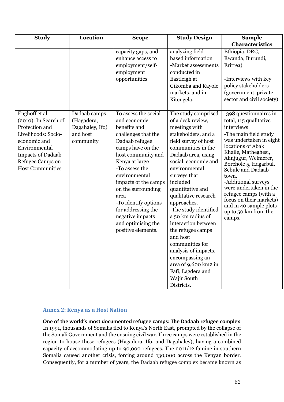| <b>Study</b>                                                                                                                                                                                   | Location                                                               | <b>Scope</b>                                                                                                                                                                                                                                                                                                                                                      | <b>Study Design</b>                                                                                                                                                                                                                                                                                                                                                                                                                                                                                                                | <b>Sample</b>                                                                                                                                                                                                                                                                                                                                                                                                  |
|------------------------------------------------------------------------------------------------------------------------------------------------------------------------------------------------|------------------------------------------------------------------------|-------------------------------------------------------------------------------------------------------------------------------------------------------------------------------------------------------------------------------------------------------------------------------------------------------------------------------------------------------------------|------------------------------------------------------------------------------------------------------------------------------------------------------------------------------------------------------------------------------------------------------------------------------------------------------------------------------------------------------------------------------------------------------------------------------------------------------------------------------------------------------------------------------------|----------------------------------------------------------------------------------------------------------------------------------------------------------------------------------------------------------------------------------------------------------------------------------------------------------------------------------------------------------------------------------------------------------------|
|                                                                                                                                                                                                |                                                                        |                                                                                                                                                                                                                                                                                                                                                                   |                                                                                                                                                                                                                                                                                                                                                                                                                                                                                                                                    | Characteristics                                                                                                                                                                                                                                                                                                                                                                                                |
|                                                                                                                                                                                                |                                                                        | capacity gaps, and<br>enhance access to<br>employment/self-<br>employment<br>opportunities                                                                                                                                                                                                                                                                        | analyzing field-<br>based information<br>-Market assessments<br>conducted in<br>Eastleigh at<br>Gikomba and Kayole<br>markets, and in<br>Kitengela.                                                                                                                                                                                                                                                                                                                                                                                | Ethiopia, DRC,<br>Rwanda, Burundi,<br>Eritrea)<br>-Interviews with key<br>policy stakeholders<br>(government, private<br>sector and civil society)                                                                                                                                                                                                                                                             |
| Enghoff et al.<br>$(2010)$ : In Search of<br>Protection and<br>Livelihoods: Socio-<br>economic and<br>Environmental<br><b>Impacts of Dadaab</b><br>Refugee Camps on<br><b>Host Communities</b> | Dadaab camps<br>(Hagadera,<br>Dagahaley, Ifo)<br>and host<br>community | To assess the social<br>and economic<br>benefits and<br>challenges that the<br>Dadaab refugee<br>camps have on the<br>host community and<br>Kenya at large<br>-To assess the<br>environmental<br>impacts of the camps<br>on the surrounding<br>area<br>-To identify options<br>for addressing the<br>negative impacts<br>and optimising the<br>positive elements. | The study comprised<br>of a desk review,<br>meetings with<br>stakeholders, and a<br>field survey of host<br>communities in the<br>Dadaab area, using<br>social, economic and<br>environmental<br>surveys that<br>included<br>quantitative and<br>qualitative research<br>approaches.<br>-The study identified<br>a 50 km radius of<br>interaction between<br>the refugee camps<br>and host<br>communities for<br>analysis of impacts,<br>encompassing an<br>area of 9,600 km2 in<br>Fafi, Lagdera and<br>Wajir South<br>Districts. | -398 questionnaires in<br>total, 115 qualitative<br>interviews<br>-The main field study<br>was undertaken in eight<br>locations of Abak<br>Khaile, Matheghesi,<br>Alinjugur, Welmerer,<br>Borehole 5, Hagarbul,<br>Sebule and Dadaab<br>town.<br>-Additional surveys<br>were undertaken in the<br>refugee camps (with a<br>focus on their markets)<br>and in 40 sample plots<br>up to 50 km from the<br>camps. |

## <span id="page-61-0"></span>**Annex 2: Kenya as a Host Nation**

<span id="page-61-1"></span>**One of the world's most documented refugee camps: The Dadaab refugee complex** In 1991, thousands of Somalis fled to Kenya's North East, prompted by the collapse of the Somali Government and the ensuing civil war. Three camps were established in the region to house these refugees (Hagadera, Ifo, and Dagahaley), having a combined capacity of accommodating up to 90,000 refugees. The 2011/12 famine in southern Somalia caused another crisis, forcing around 130,000 across the Kenyan border. Consequently, for a number of years, the Dadaab refugee complex became known as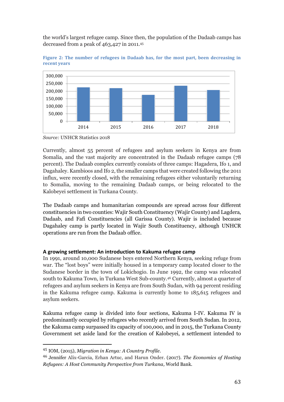the world's largest refugee camp. Since then, the population of the Dadaab camps has decreased from a peak of 463,427 in 2011.<sup>45</sup>



**Figure 2: The number of refugees in Dadaab has, for the most part, been decreasing in recent years**

*Source:* UNHCR Statistics 2018

Currently, almost 55 percent of refugees and asylum seekers in Kenya are from Somalia, and the vast majority are concentrated in the Dadaab refugee camps (78 percent). The Dadaab complex currently consists of three camps: Hagadera, Ifo 1, and Dagahaley. Kambioos and Ifo 2, the smaller camps that were created following the 2011 influx, were recently closed, with the remaining refugees either voluntarily returning to Somalia, moving to the remaining Dadaab camps, or being relocated to the Kalobeyei settlement in Turkana County.

The Dadaab camps and humanitarian compounds are spread across four different constituencies in two counties: Wajir South Constituency (Wajir County) and Lagdera, Dadaab, and Fafi Constituencies (all Garissa County). Wajir is included because Dagahaley camp is partly located in Wajir South Constituency, although UNHCR operations are run from the Dadaab office.

#### <span id="page-62-0"></span>**A growing settlement: An introduction to Kakuma refugee camp**

In 1991, around 10,000 Sudanese boys entered Northern Kenya, seeking refuge from war. The "lost boys" were initially housed in a temporary camp located closer to the Sudanese border in the town of Lokichogio. In June 1992, the camp was relocated south to Kakuma Town, in Turkana West Sub-county.<sup>46</sup> Currently, almost a quarter of refugees and asylum seekers in Kenya are from South Sudan, with 94 percent residing in the Kakuma refugee camp. Kakuma is currently home to 185,615 refugees and asylum seekers.

Kakuma refugee camp is divided into four sections, Kakuma I-IV. Kakuma IV is predominantly occupied by refugees who recently arrived from South Sudan. In 2012, the Kakuma camp surpassed its capacity of 100,000, and in 2015, the Turkana County Government set aside land for the creation of Kalobeyei, a settlement intended to

<sup>45</sup> IOM, (2015), *Migration in Kenya: A Country Profile*.

<sup>46</sup> Jennifer Alix-Garcia, Erhan Artuc, and Harun Onder. (2017). *The Economics of Hosting Refugees: A Host Community Perspective from Turkana,* World Bank.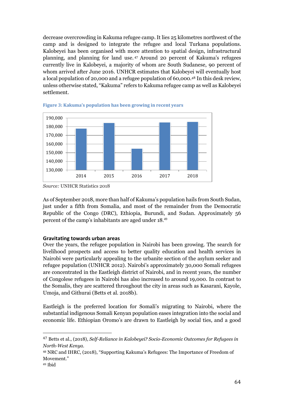decrease overcrowding in Kakuma refugee camp. It lies 25 kilometres northwest of the camp and is designed to integrate the refugee and local Turkana populations. Kalobeyei has been organised with more attention to spatial design, infrastructural planning, and planning for land use. <sup>47</sup> Around 20 percent of Kakuma's refugees currently live in Kalobeyei, a majority of whom are South Sudanese, 90 percent of whom arrived after June 2016. UNHCR estimates that Kalobeyei will eventually host a local population of 20,000 and a refugee population of 60,000.<sup>48</sup> In this desk review, unless otherwise stated, "Kakuma" refers to Kakuma refugee camp as well as Kalobeyei settlement.





*Source:* UNHCR Statistics 2018

As of September 2018, more than half of Kakuma's population hails from South Sudan, just under a fifth from Somalia, and most of the remainder from the Democratic Republic of the Congo (DRC), Ethiopia, Burundi, and Sudan. Approximately 56 percent of the camp's inhabitants are aged under 18. 49

#### <span id="page-63-0"></span>**Gravitating towards urban areas**

Over the years, the refugee population in Nairobi has been growing. The search for livelihood prospects and access to better quality education and health services in Nairobi were particularly appealing to the urbanite section of the asylum seeker and refugee population (UNHCR 2012). Nairobi's approximately 30,000 Somali refugees are concentrated in the Eastleigh district of Nairobi, and in recent years, the number of Congolese refugees in Nairobi has also increased to around 19,000. In contrast to the Somalis, they are scattered throughout the city in areas such as Kasarani, Kayole, Umoja, and Githurai (Betts et al. 2018b).

Eastleigh is the preferred location for Somali's migrating to Nairobi, where the substantial indigenous Somali Kenyan population eases integration into the social and economic life. Ethiopian Oromo's are drawn to Eastleigh by social ties, and a good

<sup>47</sup> Betts et al., (2018), *Self-Reliance in Kalobeyei? Socio-Economic Outcomes for Refugees in North-West Kenya.* 

<sup>48</sup> NRC and IHRC, (2018), "Supporting Kakuma's Refugees: The Importance of Freedom of Movement."

<sup>49</sup> Ibid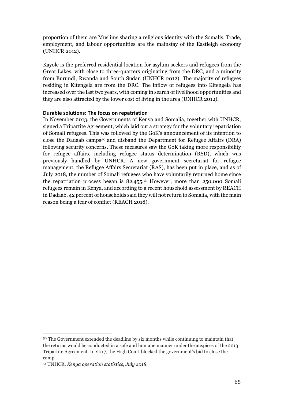proportion of them are Muslims sharing a religious identity with the Somalis. Trade, employment, and labour opportunities are the mainstay of the Eastleigh economy (UNHCR 2012).

Kayole is the preferred residential location for asylum seekers and refugees from the Great Lakes, with close to three-quarters originating from the DRC, and a minority from Burundi, Rwanda and South Sudan (UNHCR 2012). The majority of refugees residing in Kitengela are from the DRC. The inflow of refugees into Kitengela has increased over the last two years, with coming in search of livelihood opportunities and they are also attracted by the lower cost of living in the area (UNHCR 2012).

#### <span id="page-64-0"></span>**Durable solutions: The focus on repatriation**

In November 2013, the Governments of Kenya and Somalia, together with UNHCR, signed a Tripartite Agreement, which laid out a strategy for the voluntary repatriation of Somali refugees. This was followed by the GoK's announcement of its intention to close the Dadaab camps<sup>50</sup> and disband the Department for Refugee Affairs (DRA) following security concerns. These measures saw the GoK taking more responsibility for refugee affairs, including refugee status determination (RSD), which was previously handled by UNHCR. A new government secretariat for refugee management, the Refugee Affairs Secretariat (RAS), has been put in place, and as of July 2018, the number of Somali refugees who have voluntarily returned home since the repatriation process began is  $82,455$ .<sup> $51}$ </sup> However, more than 250,000 Somali refugees remain in Kenya, and according to a recent household assessment by REACH in Dadaab, 42 percent of households said they will not return to Somalia, with the main reason being a fear of conflict (REACH 2018).

<sup>50</sup> The Government extended the deadline by six months while continuing to maintain that the returns would be conducted in a safe and humane manner under the auspices of the 2013 Tripartite Agreement. In 2017, the High Court blocked the government's bid to close the camp.

<sup>51</sup> UNHCR, *Kenya operation statistics, July 2018*.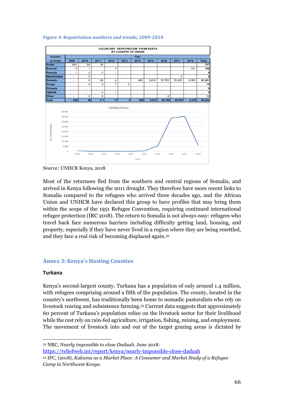

#### **Figure 4: Repatriation numbers and trends, 2009-2018**

Most of the returnees fled from the southern and central regions of Somalia, and arrived in Kenya following the 2011 drought. They therefore have more recent links to Somalia compared to the refugees who arrived three decades ago, and the African Union and UNHCR have declared this group to have profiles that may bring them within the scope of the 1951 Refugee Convention, requiring continued international refugee protection (IRC 2018). The return to Somalia is not always easy: refugees who travel back face numerous barriers including difficulty getting land, housing, and property, especially if they have never lived in a region where they are being resettled, and they face a real risk of becoming displaced again.<sup>52</sup>

## <span id="page-65-0"></span>**Annex 3: Kenya's Hosting Counties**

#### <span id="page-65-1"></span>**Turkana**

Kenya's second-largest county, Turkana has a population of only around 1.4 million, with refugees comprising around a fifth of the population. The county, located in the country's northwest, has traditionally been home to nomadic pastoralists who rely on livestock rearing and subsistence farming.<sup>53</sup> Current data suggests that approximately 60 percent of Turkana's population relies on the livestock sector for their livelihood while the rest rely on rain-fed agriculture, irrigation, fishing, mining, and employment. The movement of livestock into and out of the target grazing areas is dictated by

 $\overline{a}$ <sup>52</sup> NRC, *Nearly impossible to close Dadaab,* June 2018:

<https://reliefweb.int/report/kenya/nearly-impossible-close-dadaab>

*Source:* UNHCR Kenya, 2018

<sup>53</sup> IFC, (2018), *Kakuma as a Market Place: A Consumer and Market Study of a Refugee Camp in Northwest Kenya*.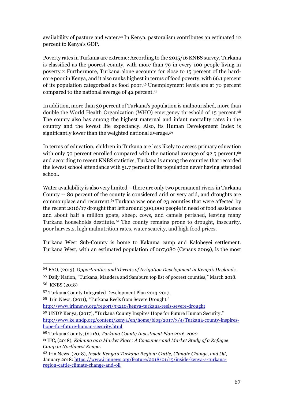availability of pasture and water.<sup>54</sup> In Kenya, pastoralism contributes an estimated 12 percent to Kenya's GDP.

Poverty rates in Turkana are extreme: According to the 2015/16 KNBS survey, Turkana is classified as the poorest county, with more than 79 in every 100 people living in poverty. <sup>55</sup> Furthermore, Turkana alone accounts for close to 15 percent of the hardcore poor in Kenya, and it also ranks highest in terms of food poverty, with 66.1 percent of its population categorized as food poor.<sup>56</sup> Unemployment levels are at 70 percent compared t0 the national average of 42 percent.<sup>57</sup>

In addition, more than 30 percent of Turkana's population is malnourished, more than double the World Health Organization (WHO) emergency threshold of 15 percent. 58 The county also has among the highest maternal and infant mortality rates in the country and the lowest life expectancy. Also, its Human Development Index is significantly lower than the weighted national average.<sup>59</sup>

In terms of education, children in Turkana are less likely to access primary education with only 50 percent enrolled compared with the national average of 92.5 percent,<sup>60</sup> and according to recent KNBS statistics, Turkana is among the counties that recorded the lowest school attendance with 51.7 percent of its population never having attended school.

Water availability is also very limited – there are only two permanent rivers in Turkana County -- 80 percent of the county is considered arid or very arid, and droughts are commonplace and recurrent.<sup>61</sup> Turkana was one of 23 counties that were affected by the recent 2016/17 drought that left around 300,000 people in need of food assistance and about half a million goats, sheep, cows, and camels perished, leaving many Turkana households destitute.<sup>62</sup> The county remains prone to drought, insecurity, poor harvests, high malnutrition rates, water scarcity, and high food prices.

Turkana West Sub-County is home to Kakuma camp and Kalobeyei settlement. Turkana West, with an estimated population of 207,080 (Census 2009), is the most

<sup>54</sup> FAO, (2013), *Opportunities and Threats of Irrigation Development in Kenya's Drylands.*

<sup>55</sup> Daily Nation, "Turkana, Mandera and Samburu top list of poorest counties," March 2018. <sup>56</sup> KNBS (2018)

<sup>57</sup> Turkana County Integrated Development Plan 2013-2017.

<sup>58</sup> Irin News, (2011), "Turkana Reels from Severe Drought."

<http://www.irinnews.org/report/93210/kenya-turkana-reels-severe-drought>

<sup>59</sup> UNDP Kenya, (2017), "Turkana County Inspires Hope for Future Human Security." [http://www.ke.undp.org/content/kenya/en/home/blog/2017/3/4/Turkana-county-inspires](http://www.ke.undp.org/content/kenya/en/home/blog/2017/3/4/Turkana-county-inspires-hope-for-future-human-security.html)[hope-for-future-human-security.html](http://www.ke.undp.org/content/kenya/en/home/blog/2017/3/4/Turkana-county-inspires-hope-for-future-human-security.html)

<sup>60</sup> Turkana County, (2016), *Turkana County Investment Plan 2016-2020*.

<sup>61</sup> IFC, (2018), *Kakuma as a Market Place: A Consumer and Market Study of a Refugee Camp in Northwest Kenya*.

<sup>62</sup> Irin News, (2018), *Inside Kenya's Turkana Region: Cattle, Climate Change, and Oil,*  January 2018: [https://www.irinnews.org/feature/2018/01/15/inside-kenya-s-turkana](https://www.irinnews.org/feature/2018/01/15/inside-kenya-s-turkana-region-cattle-climate-change-and-oil)[region-cattle-climate-change-and-oil](https://www.irinnews.org/feature/2018/01/15/inside-kenya-s-turkana-region-cattle-climate-change-and-oil)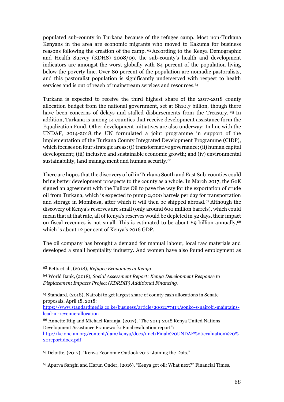populated sub-county in Turkana because of the refugee camp. Most non-Turkana Kenyans in the area are economic migrants who moved to Kakuma for business reasons following the creation of the camp. <sup>63</sup> According to the Kenya Demographic and Health Survey (KDHS) 2008/09, the sub-county's health and development indicators are amongst the worst globally with 84 percent of the population living below the poverty line. Over 80 percent of the population are nomadic pastoralists, and this pastoralist population is significantly underserved with respect to health services and is out of reach of mainstream services and resources.<sup>64</sup>

Turkana is expected to receive the third highest share of the 2017-2018 county allocation budget from the national government, set at Sh10.7 billion, though there have been concerns of delays and stalled disbursements from the Treasury. <sup>65</sup> In addition, Turkana is among 14 counties that receive development assistance form the Equalization Fund. Other development initiatives are also underway: In line with the UNDAF, 2014-2018, the UN formulated a joint programme in support of the implementation of the Turkana County Integrated Development Programme (CIDP), which focuses on four strategic areas: (i) transformative governance; (ii) human capital development; (iii) inclusive and sustainable economic growth; and (iv) environmental sustainability, land management and human security.<sup>66</sup>

There are hopes that the discovery of oil in Turkana South and East Sub-counties could bring better development prospects to the county as a whole. In March 2017, the GoK signed an agreement with the Tullow Oil to pave the way for the exportation of crude oil from Turkana, which is expected to pump 2,000 barrels per day for transportation and storage in Mombasa, after which it will then be shipped abroad.<sup>67</sup> Although the discovery of Kenya's reserves are small (only around 600 million barrels), which could mean that at that rate, all of Kenya's reserves would be depleted in 52 days, their impact on fiscal revenues is not small. This is estimated to be about \$9 billion annually,<sup>68</sup> which is about 12 per cent of Kenya's 2016 GDP.

The oil company has brought a demand for manual labour, local raw materials and developed a small hospitality industry. And women have also found employment as

 $\overline{a}$ 

<sup>67</sup> Deloitte, (2017), "Kenya Economic Outlook 2017: Joining the Dots."

<sup>68</sup> Apurva Sanghi and Harun Onder, (2016), "Kenya got oil: What next?" Financial Times.

<sup>63</sup> Betts et al., (2018), *Refugee Economies in Kenya*.

<sup>64</sup> World Bank, (2018), *Social Assessment Report: Kenya Development Response to Displacement Impacts Project (KDRDIP) Additional Financing*.

<sup>65</sup> Standard, (2018), Nairobi to get largest share of county cash allocations in Senate proposals, April 18, 2018:

[https://www.standardmedia.co.ke/business/article/2001277413/sonko-s-nairobi-maintains](https://www.standardmedia.co.ke/business/article/2001277413/sonko-s-nairobi-maintains-lead-in-revenue-allocation)[lead-in-revenue-allocation](https://www.standardmedia.co.ke/business/article/2001277413/sonko-s-nairobi-maintains-lead-in-revenue-allocation)

<sup>66</sup> Annette Ittig and Michael Karanja, (2017), "The 2014-2018 Kenya United Nations Development Assistance Framework: Final evaluation report":

[http://ke.one.un.org/content/dam/kenya/docs/unct/Final%20UNDAF%20evaluation%20%](http://ke.one.un.org/content/dam/kenya/docs/unct/Final%20UNDAF%20evaluation%20%20report.docx.pdf) [20report.docx.pdf](http://ke.one.un.org/content/dam/kenya/docs/unct/Final%20UNDAF%20evaluation%20%20report.docx.pdf)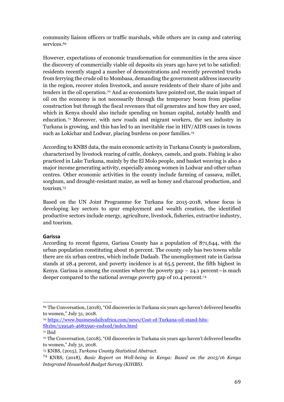community liaison officers or traffic marshals, while others are in camp and catering services. 69

However, expectations of economic transformation for communities in the area since the discovery of commercially viable oil deposits six years ago have yet to be satisfied: residents recently staged a number of demonstrations and recently prevented trucks from ferrying the crude oil to Mombasa, demanding the government address insecurity in the region, recover stolen livestock, and assure residents of their share of jobs and tenders in the oil operation.<sup>70</sup> And as economists have pointed out, the main impact of oil on the economy is not necessarily through the temporary boom from pipeline construction but through the fiscal revenues that oil generates and how they are used, which in Kenya should also include spending on human capital, notably health and education. <sup>71</sup> Moreover, with new roads and migrant workers, the sex industry in Turkana is growing, and this has led to an inevitable rise in HIV/AIDS cases in towns such as Lokichar and Lodwar, placing burdens on poor families.<sup>72</sup>

According to KNBS data, the main economic activity in Turkana County is pastoralism, characterized by livestock rearing of cattle, donkeys, camels, and goats. Fishing is also practiced in Lake Turkana, mainly by the El Molo people, and basket weaving is also a major income generating activity, especially among women in Lodwar and other urban centres. Other economic activities in the county include farming of cassava, millet, sorghum, and drought-resistant maize, as well as honey and charcoal production, and tourism.<sup>73</sup>

Based on the UN Joint Programme for Turkana for 2015-2018, whose focus is developing key sectors to spur employment and wealth creation, the identified productive sectors include energy, agriculture, livestock, fisheries, extractive industry, and tourism.

## <span id="page-68-0"></span>**Garissa**

According to recent figures, Garissa County has a population of 871,644, with the urban population constituting about 16 percent. The county only has two towns while there are six urban centres, which include Dadaab. The unemployment rate in Garissa stands at 28.4 percent, and poverty incidence is at 65.5 percent, the fifth highest in Kenya. Garissa is among the counties where the poverty gap  $-24.1$  percent—is much deeper compared to the national average poverty gap of 10.4 percent.<sup>74</sup>

 $\overline{a}$ <sup>69</sup> The Conversation, (2018), "Oil discoveries in Turkana six years ago haven't delivered benefits to women," July 31, 2018.

<sup>70</sup> [https://www.businessdailyafrica.com/news/Cost-of-Turkana-oil-stand-hits-](https://www.businessdailyafrica.com/news/Cost-of-Turkana-oil-stand-hits-Sh1bn/539546-4683590-eudxud/index.html)[Sh1bn/539546-4683590-eudxud/index.html](https://www.businessdailyafrica.com/news/Cost-of-Turkana-oil-stand-hits-Sh1bn/539546-4683590-eudxud/index.html)

<sup>71</sup> Ibid

<sup>72</sup> The Conversation, (2018), "Oil discoveries in Turkana six years ago haven't delivered benefits to women," July 31, 2018.

<sup>73</sup> KNBS, (2015), *Turkana County Statistical Abstract*.

<sup>74</sup> KNBS, (2018), *Basic Report on Well-being in Kenya: Based on the 2015/16 Kenya Integrated Household Budget Survey (KIHBS).*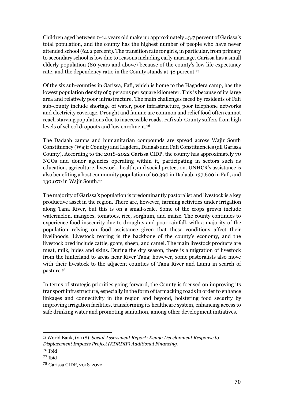Children aged between 0-14 years old make up approximately 43.7 percent of Garissa's total population, and the county has the highest number of people who have never attended school (62.2 percent). The transition rate for girls, in particular, from primary to secondary school is low due to reasons including early marriage. Garissa has a small elderly population (80 years and above) because of the county's low life expectancy rate, and the dependency ratio in the County stands at 48 percent.<sup>75</sup>

Of the six sub-counties in Garissa, Fafi, which is home to the Hagadera camp, has the lowest population density of 9 persons per square kilometer. This is because of its large area and relatively poor infrastructure. The main challenges faced by residents of Fafi sub-county include shortage of water, poor infrastructure, poor telephone networks and electricity coverage. Drought and famine are common and relief food often cannot reach starving populations due to inaccessible roads. Fafi sub-County suffers from high levels of school dropouts and low enrolment.<sup>76</sup>

The Dadaab camps and humanitarian compounds are spread across Wajir South Constituency (Wajir County) and Lagdera, Dadaab and Fafi Constituencies (all Garissa County). According to the 2018-2022 Garissa CIDP, the county has approximately 70 NGOs and donor agencies operating within it, participating in sectors such as education, agriculture, livestock, health, and social protection. UNHCR's assistance is also benefiting a host community population of 60,390 in Dadaab, 137,600 in Fafi, and 130,070 in Wajir South.<sup>77</sup>

The majority of Garissa's population is predominantly pastoralist and livestock is a key productive asset in the region. There are, however, farming activities under irrigation along Tana River, but this is on a small-scale. Some of the crops grown include watermelon, mangoes, tomatoes, rice, sorghum, and maize. The county continues to experience food insecurity due to droughts and poor rainfall, with a majority of the population relying on food assistance given that these conditions affect their livelihoods. Livestock rearing is the backbone of the county's economy, and the livestock bred include cattle, goats, sheep, and camel. The main livestock products are meat, milk, hides and skins. During the dry season, there is a migration of livestock from the hinterland to areas near River Tana; however, some pastoralists also move with their livestock to the adjacent counties of Tana River and Lamu in search of pasture. 78

In terms of strategic priorities going forward, the County is focused on improving its transport infrastructure, especially in the form of tarmacking roads in order to enhance linkages and connectivity in the region and beyond, bolstering food security by improving irrigation facilities, transforming its healthcare system, enhancing access to safe drinking water and promoting sanitation, among other development initiatives.

<sup>75</sup> World Bank, (2018), *Social Assessment Report: Kenya Development Response to* 

*Displacement Impacts Project (KDRDIP) Additional Financing*.

<sup>76</sup> Ibid

<sup>77</sup> Ibid

<sup>78</sup> Garissa CIDP, 2018-2022.